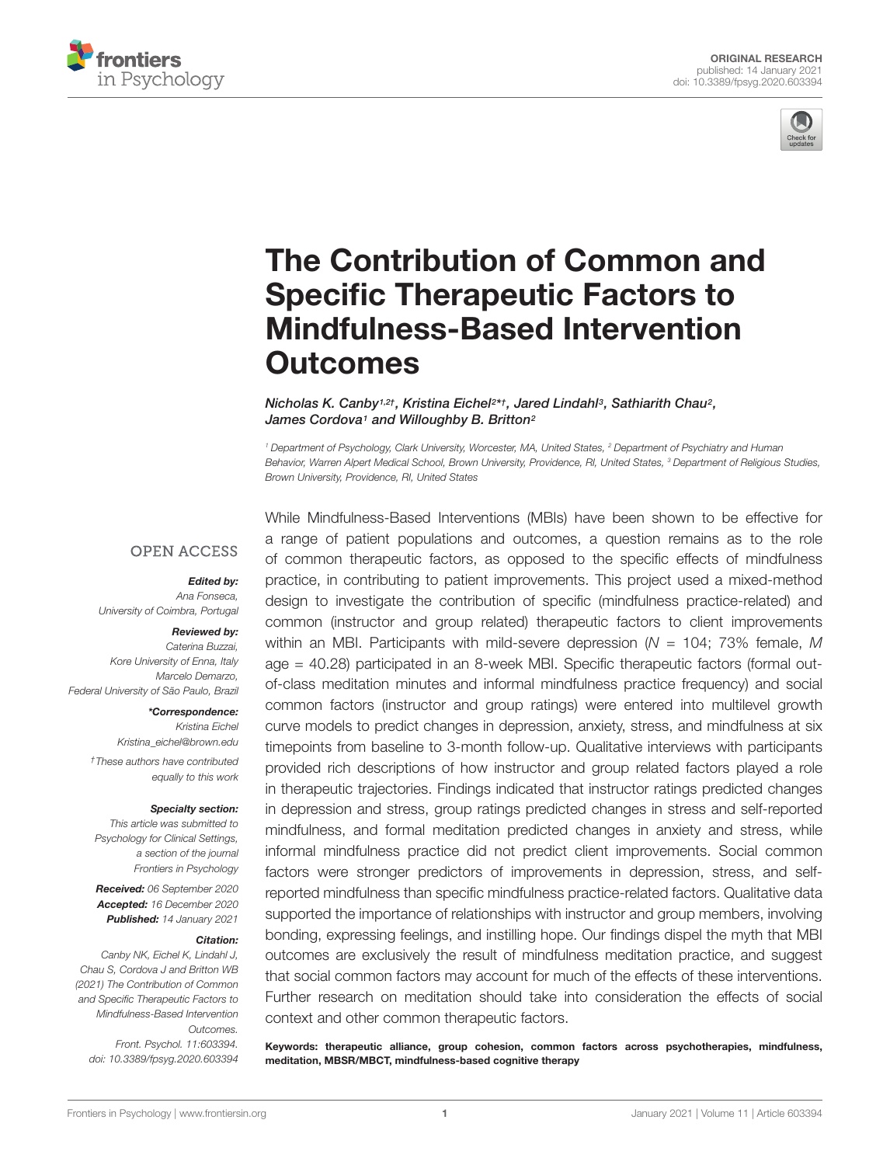



# [The Contribution of Common and](https://www.frontiersin.org/articles/10.3389/fpsyg.2020.603394/full) Specific Therapeutic Factors to Mindfulness-Based Intervention **Outcomes**

Nicholas K. Canby<sup>1,2†</sup>, Kristina Eichel<sup>2\*†</sup>, Jared Lindahl<sup>3</sup>, Sathiarith Chau<sup>2</sup>, James Cordova<sup>1</sup> and Willoughby B. Britton<sup>2</sup>

<sup>1</sup> Department of Psychology, Clark University, Worcester, MA, United States, <sup>2</sup> Department of Psychiatry and Human Behavior, Warren Alpert Medical School, Brown University, Providence, RI, United States, <sup>3</sup> Department of Religious Studies, Brown University, Providence, RI, United States

#### **OPEN ACCESS**

## Edited by:

Ana Fonseca, University of Coimbra, Portugal

#### Reviewed by:

Caterina Buzzai, Kore University of Enna, Italy Marcelo Demarzo, Federal University of São Paulo, Brazil

#### \*Correspondence:

Kristina Eichel Kristina\_eichel@brown.edu †These authors have contributed equally to this work

#### Specialty section:

This article was submitted to Psychology for Clinical Settings, a section of the journal Frontiers in Psychology

Received: 06 September 2020 Accepted: 16 December 2020 Published: 14 January 2021

#### Citation:

Canby NK, Eichel K, Lindahl J, Chau S, Cordova J and Britton WB (2021) The Contribution of Common and Specific Therapeutic Factors to Mindfulness-Based Intervention Outcomes. Front. Psychol. 11:603394. doi: [10.3389/fpsyg.2020.603394](https://doi.org/10.3389/fpsyg.2020.603394)

While Mindfulness-Based Interventions (MBIs) have been shown to be effective for a range of patient populations and outcomes, a question remains as to the role of common therapeutic factors, as opposed to the specific effects of mindfulness practice, in contributing to patient improvements. This project used a mixed-method design to investigate the contribution of specific (mindfulness practice-related) and common (instructor and group related) therapeutic factors to client improvements within an MBI. Participants with mild-severe depression ( $N = 104$ ; 73% female, M age = 40.28) participated in an 8-week MBI. Specific therapeutic factors (formal outof-class meditation minutes and informal mindfulness practice frequency) and social common factors (instructor and group ratings) were entered into multilevel growth curve models to predict changes in depression, anxiety, stress, and mindfulness at six timepoints from baseline to 3-month follow-up. Qualitative interviews with participants provided rich descriptions of how instructor and group related factors played a role in therapeutic trajectories. Findings indicated that instructor ratings predicted changes in depression and stress, group ratings predicted changes in stress and self-reported mindfulness, and formal meditation predicted changes in anxiety and stress, while informal mindfulness practice did not predict client improvements. Social common factors were stronger predictors of improvements in depression, stress, and selfreported mindfulness than specific mindfulness practice-related factors. Qualitative data supported the importance of relationships with instructor and group members, involving bonding, expressing feelings, and instilling hope. Our findings dispel the myth that MBI outcomes are exclusively the result of mindfulness meditation practice, and suggest that social common factors may account for much of the effects of these interventions. Further research on meditation should take into consideration the effects of social context and other common therapeutic factors.

Keywords: therapeutic alliance, group cohesion, common factors across psychotherapies, mindfulness, meditation, MBSR/MBCT, mindfulness-based cognitive therapy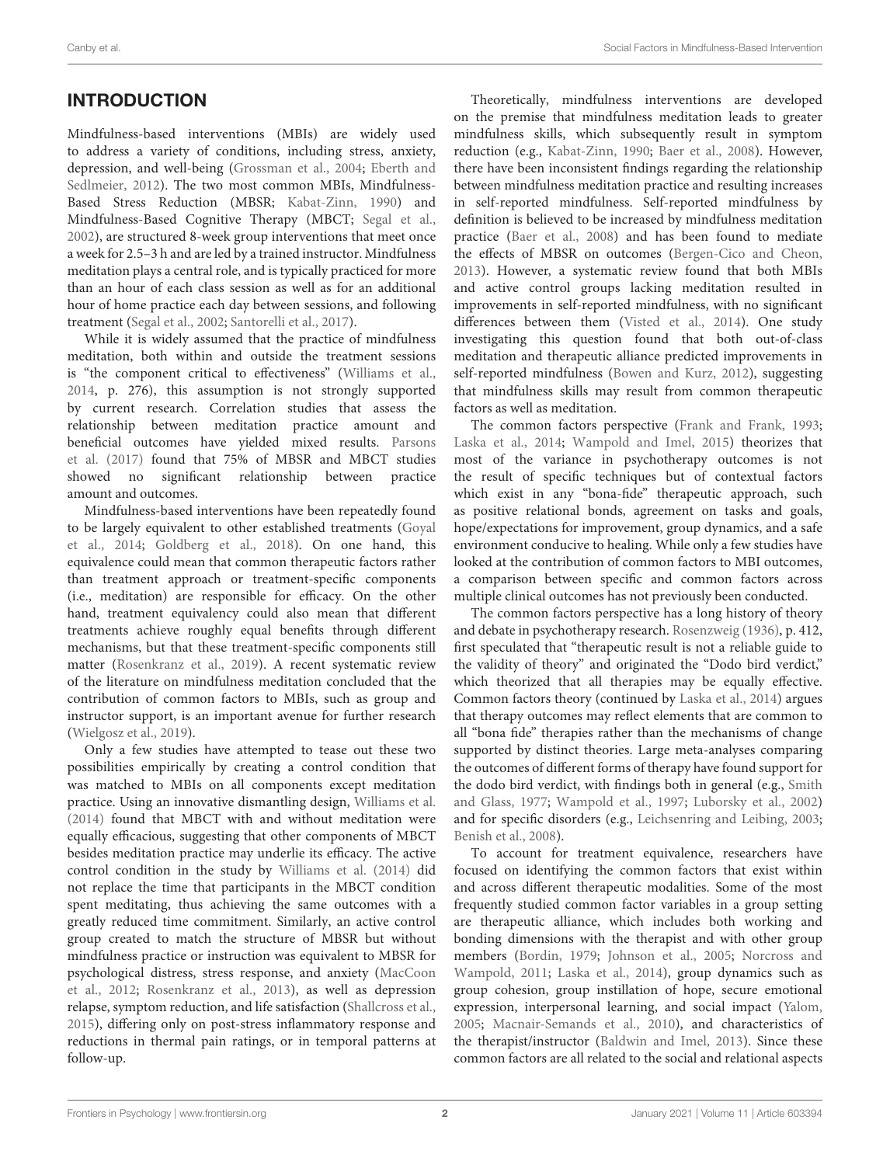# INTRODUCTION

Mindfulness-based interventions (MBIs) are widely used to address a variety of conditions, including stress, anxiety, depression, and well-being [\(Grossman et al.,](#page-14-0) [2004;](#page-14-0) [Eberth and](#page-14-1) [Sedlmeier,](#page-14-1) [2012\)](#page-14-1). The two most common MBIs, Mindfulness-Based Stress Reduction (MBSR; [Kabat-Zinn,](#page-15-0) [1990\)](#page-15-0) and Mindfulness-Based Cognitive Therapy (MBCT; [Segal et al.,](#page-15-1) [2002\)](#page-15-1), are structured 8-week group interventions that meet once a week for 2.5–3 h and are led by a trained instructor. Mindfulness meditation plays a central role, and is typically practiced for more than an hour of each class session as well as for an additional hour of home practice each day between sessions, and following treatment [\(Segal et al.,](#page-15-1) [2002;](#page-15-1) [Santorelli et al.,](#page-15-2) [2017\)](#page-15-2).

While it is widely assumed that the practice of mindfulness meditation, both within and outside the treatment sessions is "the component critical to effectiveness" [\(Williams et al.,](#page-15-3) [2014,](#page-15-3) p. 276), this assumption is not strongly supported by current research. Correlation studies that assess the relationship between meditation practice amount and beneficial outcomes have yielded mixed results. [Parsons](#page-15-4) [et al.](#page-15-4) [\(2017\)](#page-15-4) found that 75% of MBSR and MBCT studies showed no significant relationship between practice amount and outcomes.

Mindfulness-based interventions have been repeatedly found to be largely equivalent to other established treatments [\(Goyal](#page-14-2) [et al.,](#page-14-2) [2014;](#page-14-2) [Goldberg et al.,](#page-14-3) [2018\)](#page-14-3). On one hand, this equivalence could mean that common therapeutic factors rather than treatment approach or treatment-specific components (i.e., meditation) are responsible for efficacy. On the other hand, treatment equivalency could also mean that different treatments achieve roughly equal benefits through different mechanisms, but that these treatment-specific components still matter [\(Rosenkranz et al.,](#page-15-5) [2019\)](#page-15-5). A recent systematic review of the literature on mindfulness meditation concluded that the contribution of common factors to MBIs, such as group and instructor support, is an important avenue for further research [\(Wielgosz et al.,](#page-15-6) [2019\)](#page-15-6).

Only a few studies have attempted to tease out these two possibilities empirically by creating a control condition that was matched to MBIs on all components except meditation practice. Using an innovative dismantling design, [Williams et al.](#page-15-3) [\(2014\)](#page-15-3) found that MBCT with and without meditation were equally efficacious, suggesting that other components of MBCT besides meditation practice may underlie its efficacy. The active control condition in the study by [Williams et al.](#page-15-3) [\(2014\)](#page-15-3) did not replace the time that participants in the MBCT condition spent meditating, thus achieving the same outcomes with a greatly reduced time commitment. Similarly, an active control group created to match the structure of MBSR but without mindfulness practice or instruction was equivalent to MBSR for psychological distress, stress response, and anxiety [\(MacCoon](#page-15-7) [et al.,](#page-15-7) [2012;](#page-15-7) [Rosenkranz et al.,](#page-15-8) [2013\)](#page-15-8), as well as depression relapse, symptom reduction, and life satisfaction [\(Shallcross et al.,](#page-15-9) [2015\)](#page-15-9), differing only on post-stress inflammatory response and reductions in thermal pain ratings, or in temporal patterns at follow-up.

Theoretically, mindfulness interventions are developed on the premise that mindfulness meditation leads to greater mindfulness skills, which subsequently result in symptom reduction (e.g., [Kabat-Zinn,](#page-15-0) [1990;](#page-15-0) [Baer et al.,](#page-14-4) [2008\)](#page-14-4). However, there have been inconsistent findings regarding the relationship between mindfulness meditation practice and resulting increases in self-reported mindfulness. Self-reported mindfulness by definition is believed to be increased by mindfulness meditation practice [\(Baer et al.,](#page-14-4) [2008\)](#page-14-4) and has been found to mediate the effects of MBSR on outcomes [\(Bergen-Cico and Cheon,](#page-14-5) [2013\)](#page-14-5). However, a systematic review found that both MBIs and active control groups lacking meditation resulted in improvements in self-reported mindfulness, with no significant differences between them [\(Visted et al.,](#page-15-10) [2014\)](#page-15-10). One study investigating this question found that both out-of-class meditation and therapeutic alliance predicted improvements in self-reported mindfulness [\(Bowen and Kurz,](#page-14-6) [2012\)](#page-14-6), suggesting that mindfulness skills may result from common therapeutic factors as well as meditation.

The common factors perspective [\(Frank and Frank,](#page-14-7) [1993;](#page-14-7) [Laska et al.,](#page-15-11) [2014;](#page-15-11) [Wampold and Imel,](#page-15-12) [2015\)](#page-15-12) theorizes that most of the variance in psychotherapy outcomes is not the result of specific techniques but of contextual factors which exist in any "bona-fide" therapeutic approach, such as positive relational bonds, agreement on tasks and goals, hope/expectations for improvement, group dynamics, and a safe environment conducive to healing. While only a few studies have looked at the contribution of common factors to MBI outcomes, a comparison between specific and common factors across multiple clinical outcomes has not previously been conducted.

The common factors perspective has a long history of theory and debate in psychotherapy research. [Rosenzweig](#page-15-13) [\(1936\)](#page-15-13), p. 412, first speculated that "therapeutic result is not a reliable guide to the validity of theory" and originated the "Dodo bird verdict," which theorized that all therapies may be equally effective. Common factors theory (continued by [Laska et al.,](#page-15-11) [2014\)](#page-15-11) argues that therapy outcomes may reflect elements that are common to all "bona fide" therapies rather than the mechanisms of change supported by distinct theories. Large meta-analyses comparing the outcomes of different forms of therapy have found support for the dodo bird verdict, with findings both in general (e.g., [Smith](#page-15-14) [and Glass,](#page-15-14) [1977;](#page-15-14) [Wampold et al.,](#page-15-15) [1997;](#page-15-15) [Luborsky et al.,](#page-15-16) [2002\)](#page-15-16) and for specific disorders (e.g., [Leichsenring and Leibing,](#page-15-17) [2003;](#page-15-17) [Benish et al.,](#page-14-8) [2008\)](#page-14-8).

To account for treatment equivalence, researchers have focused on identifying the common factors that exist within and across different therapeutic modalities. Some of the most frequently studied common factor variables in a group setting are therapeutic alliance, which includes both working and bonding dimensions with the therapist and with other group members [\(Bordin,](#page-14-9) [1979;](#page-14-9) [Johnson et al.,](#page-15-18) [2005;](#page-15-18) [Norcross and](#page-15-19) [Wampold,](#page-15-19) [2011;](#page-15-19) [Laska et al.,](#page-15-11) [2014\)](#page-15-11), group dynamics such as group cohesion, group instillation of hope, secure emotional expression, interpersonal learning, and social impact [\(Yalom,](#page-15-20) [2005;](#page-15-20) [Macnair-Semands et al.,](#page-15-21) [2010\)](#page-15-21), and characteristics of the therapist/instructor [\(Baldwin and Imel,](#page-14-10) [2013\)](#page-14-10). Since these common factors are all related to the social and relational aspects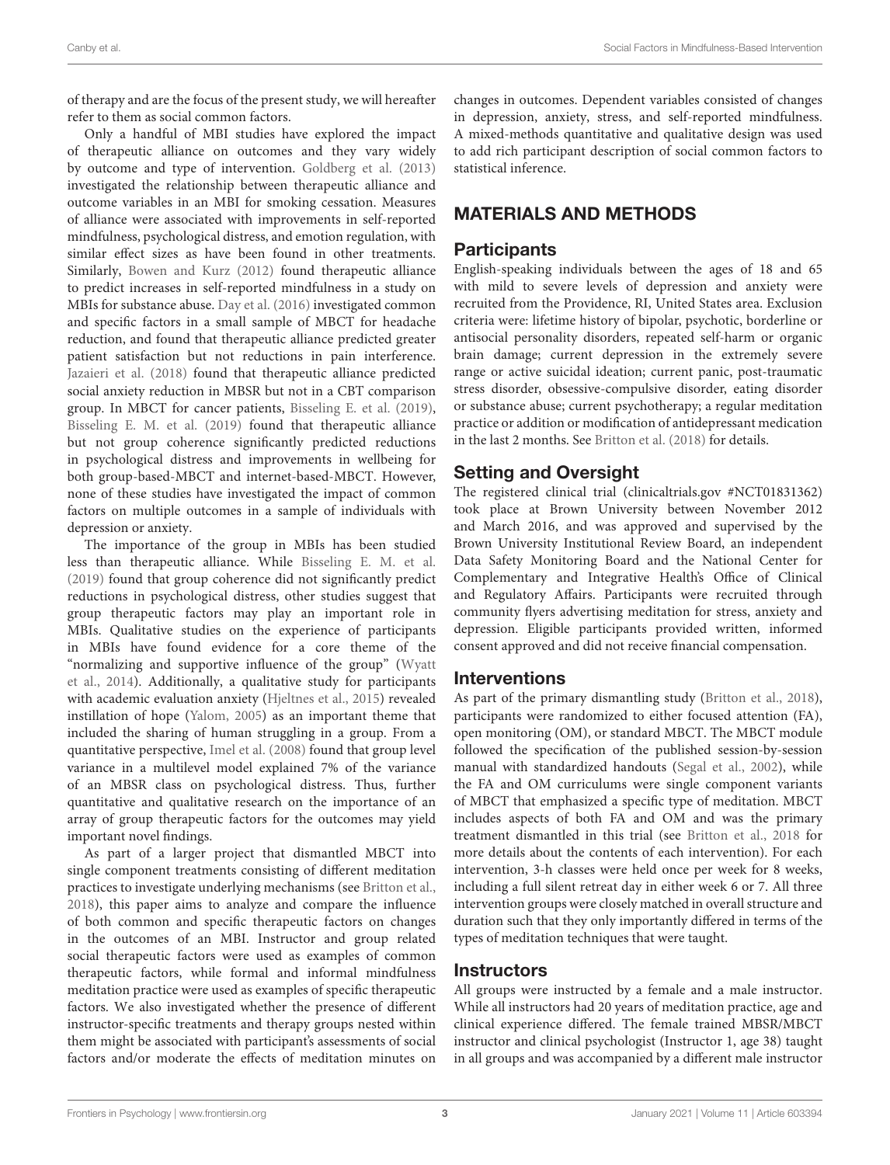of therapy and are the focus of the present study, we will hereafter refer to them as social common factors.

Only a handful of MBI studies have explored the impact of therapeutic alliance on outcomes and they vary widely by outcome and type of intervention. [Goldberg et al.](#page-14-11) [\(2013\)](#page-14-11) investigated the relationship between therapeutic alliance and outcome variables in an MBI for smoking cessation. Measures of alliance were associated with improvements in self-reported mindfulness, psychological distress, and emotion regulation, with similar effect sizes as have been found in other treatments. Similarly, [Bowen and Kurz](#page-14-6) [\(2012\)](#page-14-6) found therapeutic alliance to predict increases in self-reported mindfulness in a study on MBIs for substance abuse. [Day et al.](#page-14-12) [\(2016\)](#page-14-12) investigated common and specific factors in a small sample of MBCT for headache reduction, and found that therapeutic alliance predicted greater patient satisfaction but not reductions in pain interference. [Jazaieri et al.](#page-15-22) [\(2018\)](#page-15-22) found that therapeutic alliance predicted social anxiety reduction in MBSR but not in a CBT comparison group. In MBCT for cancer patients, [Bisseling E. et al.](#page-14-13) [\(2019\)](#page-14-13), [Bisseling E. M. et al.](#page-14-14) [\(2019\)](#page-14-14) found that therapeutic alliance but not group coherence significantly predicted reductions in psychological distress and improvements in wellbeing for both group-based-MBCT and internet-based-MBCT. However, none of these studies have investigated the impact of common factors on multiple outcomes in a sample of individuals with depression or anxiety.

The importance of the group in MBIs has been studied less than therapeutic alliance. While [Bisseling E. M. et al.](#page-14-14) [\(2019\)](#page-14-14) found that group coherence did not significantly predict reductions in psychological distress, other studies suggest that group therapeutic factors may play an important role in MBIs. Qualitative studies on the experience of participants in MBIs have found evidence for a core theme of the "normalizing and supportive influence of the group" [\(Wyatt](#page-15-23) [et al.,](#page-15-23) [2014\)](#page-15-23). Additionally, a qualitative study for participants with academic evaluation anxiety [\(Hjeltnes et al.,](#page-14-15) [2015\)](#page-14-15) revealed instillation of hope [\(Yalom,](#page-15-20) [2005\)](#page-15-20) as an important theme that included the sharing of human struggling in a group. From a quantitative perspective, [Imel et al.](#page-14-16) [\(2008\)](#page-14-16) found that group level variance in a multilevel model explained 7% of the variance of an MBSR class on psychological distress. Thus, further quantitative and qualitative research on the importance of an array of group therapeutic factors for the outcomes may yield important novel findings.

As part of a larger project that dismantled MBCT into single component treatments consisting of different meditation practices to investigate underlying mechanisms (see [Britton et al.,](#page-14-17) [2018\)](#page-14-17), this paper aims to analyze and compare the influence of both common and specific therapeutic factors on changes in the outcomes of an MBI. Instructor and group related social therapeutic factors were used as examples of common therapeutic factors, while formal and informal mindfulness meditation practice were used as examples of specific therapeutic factors. We also investigated whether the presence of different instructor-specific treatments and therapy groups nested within them might be associated with participant's assessments of social factors and/or moderate the effects of meditation minutes on

changes in outcomes. Dependent variables consisted of changes in depression, anxiety, stress, and self-reported mindfulness. A mixed-methods quantitative and qualitative design was used to add rich participant description of social common factors to statistical inference.

# MATERIALS AND METHODS

# **Participants**

English-speaking individuals between the ages of 18 and 65 with mild to severe levels of depression and anxiety were recruited from the Providence, RI, United States area. Exclusion criteria were: lifetime history of bipolar, psychotic, borderline or antisocial personality disorders, repeated self-harm or organic brain damage; current depression in the extremely severe range or active suicidal ideation; current panic, post-traumatic stress disorder, obsessive-compulsive disorder, eating disorder or substance abuse; current psychotherapy; a regular meditation practice or addition or modification of antidepressant medication in the last 2 months. See [Britton et al.](#page-14-17) [\(2018\)](#page-14-17) for details.

# Setting and Oversight

The registered clinical trial [\(clinicaltrials.gov](https://clinicaltrials.gov/) #NCT01831362) took place at Brown University between November 2012 and March 2016, and was approved and supervised by the Brown University Institutional Review Board, an independent Data Safety Monitoring Board and the National Center for Complementary and Integrative Health's Office of Clinical and Regulatory Affairs. Participants were recruited through community flyers advertising meditation for stress, anxiety and depression. Eligible participants provided written, informed consent approved and did not receive financial compensation.

# Interventions

As part of the primary dismantling study [\(Britton et al.,](#page-14-17) [2018\)](#page-14-17), participants were randomized to either focused attention (FA), open monitoring (OM), or standard MBCT. The MBCT module followed the specification of the published session-by-session manual with standardized handouts [\(Segal et al.,](#page-15-1) [2002\)](#page-15-1), while the FA and OM curriculums were single component variants of MBCT that emphasized a specific type of meditation. MBCT includes aspects of both FA and OM and was the primary treatment dismantled in this trial (see [Britton et al.,](#page-14-17) [2018](#page-14-17) for more details about the contents of each intervention). For each intervention, 3-h classes were held once per week for 8 weeks, including a full silent retreat day in either week 6 or 7. All three intervention groups were closely matched in overall structure and duration such that they only importantly differed in terms of the types of meditation techniques that were taught.

# **Instructors**

All groups were instructed by a female and a male instructor. While all instructors had 20 years of meditation practice, age and clinical experience differed. The female trained MBSR/MBCT instructor and clinical psychologist (Instructor 1, age 38) taught in all groups and was accompanied by a different male instructor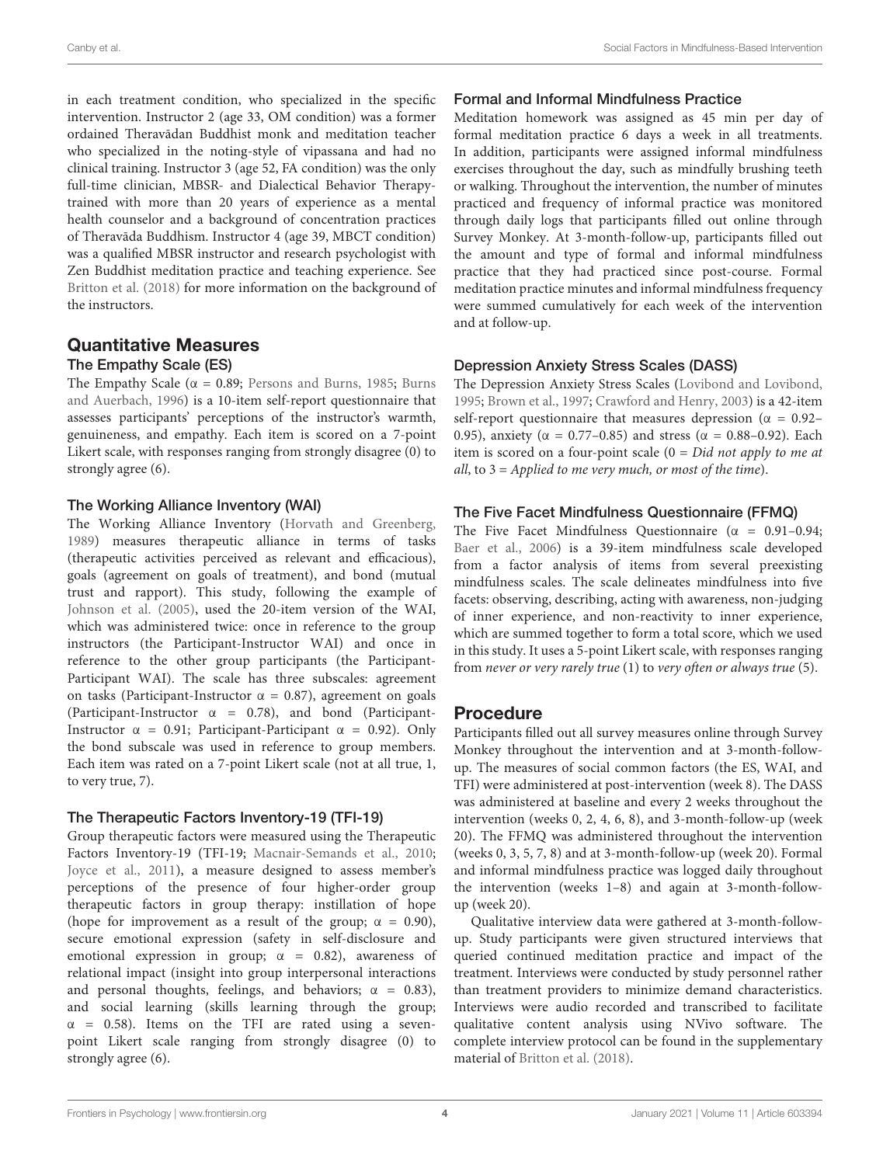in each treatment condition, who specialized in the specific intervention. Instructor 2 (age 33, OM condition) was a former ordained Theravādan Buddhist monk and meditation teacher who specialized in the noting-style of vipassana and had no clinical training. Instructor 3 (age 52, FA condition) was the only full-time clinician, MBSR- and Dialectical Behavior Therapytrained with more than 20 years of experience as a mental health counselor and a background of concentration practices of Theravada Buddhism. Instructor 4 (age 39, MBCT condition) ¯ was a qualified MBSR instructor and research psychologist with Zen Buddhist meditation practice and teaching experience. See [Britton et al.](#page-14-17) [\(2018\)](#page-14-17) for more information on the background of the instructors.

# Quantitative Measures

# The Empathy Scale (ES)

The Empathy Scale ( $\alpha$  = 0.89; [Persons and Burns,](#page-15-24) [1985;](#page-15-24) [Burns](#page-14-18) [and Auerbach,](#page-14-18) [1996\)](#page-14-18) is a 10-item self-report questionnaire that assesses participants' perceptions of the instructor's warmth, genuineness, and empathy. Each item is scored on a 7-point Likert scale, with responses ranging from strongly disagree (0) to strongly agree (6).

## The Working Alliance Inventory (WAI)

The Working Alliance Inventory [\(Horvath and Greenberg,](#page-14-19) [1989\)](#page-14-19) measures therapeutic alliance in terms of tasks (therapeutic activities perceived as relevant and efficacious), goals (agreement on goals of treatment), and bond (mutual trust and rapport). This study, following the example of [Johnson et al.](#page-15-18) [\(2005\)](#page-15-18), used the 20-item version of the WAI, which was administered twice: once in reference to the group instructors (the Participant-Instructor WAI) and once in reference to the other group participants (the Participant-Participant WAI). The scale has three subscales: agreement on tasks (Participant-Instructor  $\alpha = 0.87$ ), agreement on goals (Participant-Instructor α = 0.78), and bond (Participant-Instructor  $\alpha = 0.91$ ; Participant-Participant  $\alpha = 0.92$ ). Only the bond subscale was used in reference to group members. Each item was rated on a 7-point Likert scale (not at all true, 1, to very true, 7).

## The Therapeutic Factors Inventory-19 (TFI-19)

Group therapeutic factors were measured using the Therapeutic Factors Inventory-19 (TFI-19; [Macnair-Semands et al.,](#page-15-21) [2010;](#page-15-21) [Joyce et al.,](#page-15-25) [2011\)](#page-15-25), a measure designed to assess member's perceptions of the presence of four higher-order group therapeutic factors in group therapy: instillation of hope (hope for improvement as a result of the group;  $\alpha = 0.90$ ), secure emotional expression (safety in self-disclosure and emotional expression in group;  $\alpha = 0.82$ ), awareness of relational impact (insight into group interpersonal interactions and personal thoughts, feelings, and behaviors;  $\alpha = 0.83$ ), and social learning (skills learning through the group;  $\alpha$  = 0.58). Items on the TFI are rated using a sevenpoint Likert scale ranging from strongly disagree (0) to strongly agree (6).

## Formal and Informal Mindfulness Practice

Meditation homework was assigned as 45 min per day of formal meditation practice 6 days a week in all treatments. In addition, participants were assigned informal mindfulness exercises throughout the day, such as mindfully brushing teeth or walking. Throughout the intervention, the number of minutes practiced and frequency of informal practice was monitored through daily logs that participants filled out online through Survey Monkey. At 3-month-follow-up, participants filled out the amount and type of formal and informal mindfulness practice that they had practiced since post-course. Formal meditation practice minutes and informal mindfulness frequency were summed cumulatively for each week of the intervention and at follow-up.

## Depression Anxiety Stress Scales (DASS)

The Depression Anxiety Stress Scales [\(Lovibond and Lovibond,](#page-15-26) [1995;](#page-15-26) [Brown et al.,](#page-14-20) [1997;](#page-14-20) [Crawford and Henry,](#page-14-21) [2003\)](#page-14-21) is a 42-item self-report questionnaire that measures depression ( $\alpha = 0.92-$ 0.95), anxiety ( $α = 0.77 - 0.85$ ) and stress ( $α = 0.88 - 0.92$ ). Each item is scored on a four-point scale  $(0 = Did not apply to me at$ all, to  $3 =$  Applied to me very much, or most of the time).

## The Five Facet Mindfulness Questionnaire (FFMQ)

The Five Facet Mindfulness Questionnaire ( $\alpha = 0.91 - 0.94$ ; [Baer et al.,](#page-14-22) [2006\)](#page-14-22) is a 39-item mindfulness scale developed from a factor analysis of items from several preexisting mindfulness scales. The scale delineates mindfulness into five facets: observing, describing, acting with awareness, non-judging of inner experience, and non-reactivity to inner experience, which are summed together to form a total score, which we used in this study. It uses a 5-point Likert scale, with responses ranging from never or very rarely true (1) to very often or always true (5).

## Procedure

Participants filled out all survey measures online through Survey Monkey throughout the intervention and at 3-month-followup. The measures of social common factors (the ES, WAI, and TFI) were administered at post-intervention (week 8). The DASS was administered at baseline and every 2 weeks throughout the intervention (weeks 0, 2, 4, 6, 8), and 3-month-follow-up (week 20). The FFMQ was administered throughout the intervention (weeks 0, 3, 5, 7, 8) and at 3-month-follow-up (week 20). Formal and informal mindfulness practice was logged daily throughout the intervention (weeks 1–8) and again at 3-month-followup (week 20).

Qualitative interview data were gathered at 3-month-followup. Study participants were given structured interviews that queried continued meditation practice and impact of the treatment. Interviews were conducted by study personnel rather than treatment providers to minimize demand characteristics. Interviews were audio recorded and transcribed to facilitate qualitative content analysis using NVivo software. The complete interview protocol can be found in the supplementary material of [Britton et al.](#page-14-17) [\(2018\)](#page-14-17).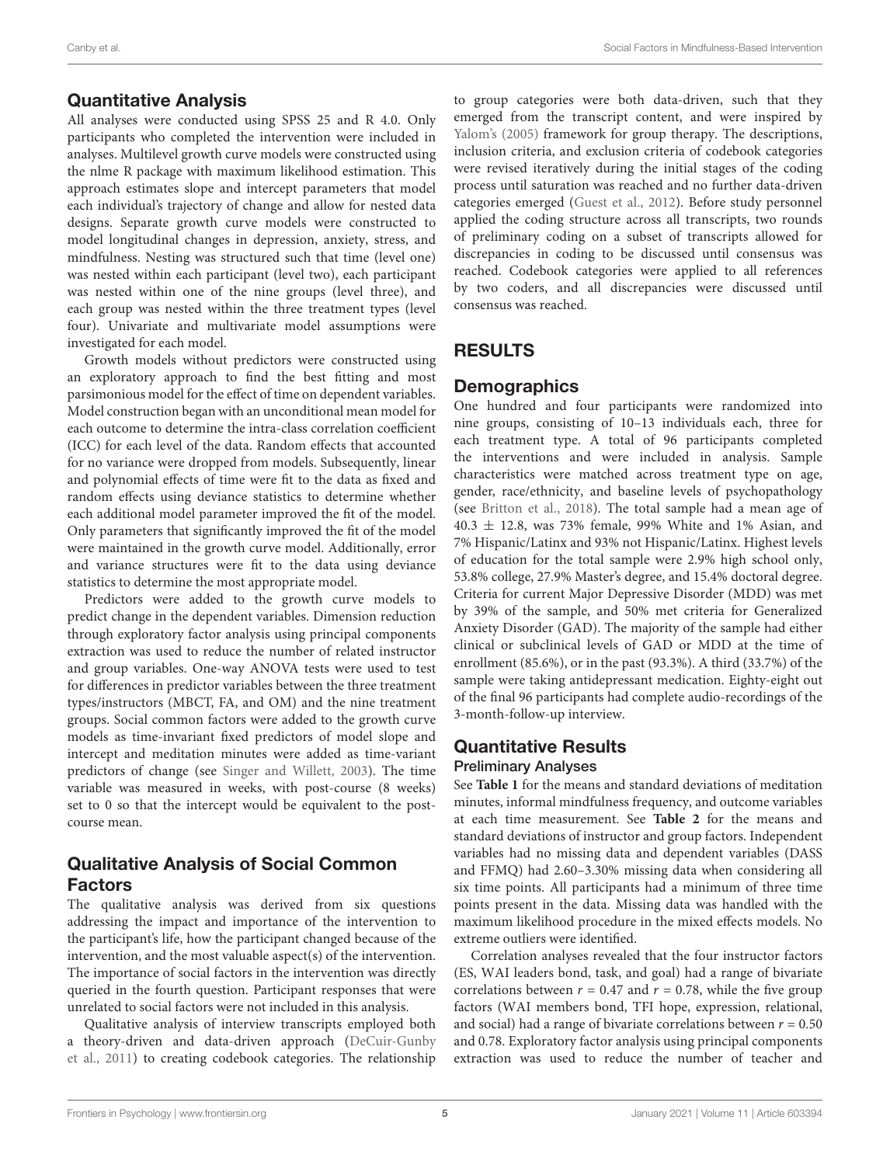## Quantitative Analysis

All analyses were conducted using SPSS 25 and R 4.0. Only participants who completed the intervention were included in analyses. Multilevel growth curve models were constructed using the nlme R package with maximum likelihood estimation. This approach estimates slope and intercept parameters that model each individual's trajectory of change and allow for nested data designs. Separate growth curve models were constructed to model longitudinal changes in depression, anxiety, stress, and mindfulness. Nesting was structured such that time (level one) was nested within each participant (level two), each participant was nested within one of the nine groups (level three), and each group was nested within the three treatment types (level four). Univariate and multivariate model assumptions were investigated for each model.

Growth models without predictors were constructed using an exploratory approach to find the best fitting and most parsimonious model for the effect of time on dependent variables. Model construction began with an unconditional mean model for each outcome to determine the intra-class correlation coefficient (ICC) for each level of the data. Random effects that accounted for no variance were dropped from models. Subsequently, linear and polynomial effects of time were fit to the data as fixed and random effects using deviance statistics to determine whether each additional model parameter improved the fit of the model. Only parameters that significantly improved the fit of the model were maintained in the growth curve model. Additionally, error and variance structures were fit to the data using deviance statistics to determine the most appropriate model.

Predictors were added to the growth curve models to predict change in the dependent variables. Dimension reduction through exploratory factor analysis using principal components extraction was used to reduce the number of related instructor and group variables. One-way ANOVA tests were used to test for differences in predictor variables between the three treatment types/instructors (MBCT, FA, and OM) and the nine treatment groups. Social common factors were added to the growth curve models as time-invariant fixed predictors of model slope and intercept and meditation minutes were added as time-variant predictors of change (see [Singer and Willett,](#page-15-27) [2003\)](#page-15-27). The time variable was measured in weeks, with post-course (8 weeks) set to 0 so that the intercept would be equivalent to the postcourse mean.

# Qualitative Analysis of Social Common Factors

The qualitative analysis was derived from six questions addressing the impact and importance of the intervention to the participant's life, how the participant changed because of the intervention, and the most valuable aspect(s) of the intervention. The importance of social factors in the intervention was directly queried in the fourth question. Participant responses that were unrelated to social factors were not included in this analysis.

Qualitative analysis of interview transcripts employed both a theory-driven and data-driven approach [\(DeCuir-Gunby](#page-14-23) [et al.,](#page-14-23) [2011\)](#page-14-23) to creating codebook categories. The relationship to group categories were both data-driven, such that they emerged from the transcript content, and were inspired by [Yalom'](#page-15-20)s [\(2005\)](#page-15-20) framework for group therapy. The descriptions, inclusion criteria, and exclusion criteria of codebook categories were revised iteratively during the initial stages of the coding process until saturation was reached and no further data-driven categories emerged [\(Guest et al.,](#page-14-24) [2012\)](#page-14-24). Before study personnel applied the coding structure across all transcripts, two rounds of preliminary coding on a subset of transcripts allowed for discrepancies in coding to be discussed until consensus was reached. Codebook categories were applied to all references by two coders, and all discrepancies were discussed until consensus was reached.

# RESULTS

## **Demographics**

One hundred and four participants were randomized into nine groups, consisting of 10–13 individuals each, three for each treatment type. A total of 96 participants completed the interventions and were included in analysis. Sample characteristics were matched across treatment type on age, gender, race/ethnicity, and baseline levels of psychopathology (see [Britton et al.,](#page-14-17) [2018\)](#page-14-17). The total sample had a mean age of  $40.3 \pm 12.8$ , was 73% female, 99% White and 1% Asian, and 7% Hispanic/Latinx and 93% not Hispanic/Latinx. Highest levels of education for the total sample were 2.9% high school only, 53.8% college, 27.9% Master's degree, and 15.4% doctoral degree. Criteria for current Major Depressive Disorder (MDD) was met by 39% of the sample, and 50% met criteria for Generalized Anxiety Disorder (GAD). The majority of the sample had either clinical or subclinical levels of GAD or MDD at the time of enrollment (85.6%), or in the past (93.3%). A third (33.7%) of the sample were taking antidepressant medication. Eighty-eight out of the final 96 participants had complete audio-recordings of the 3-month-follow-up interview.

# Quantitative Results

#### Preliminary Analyses

See **[Table 1](#page-5-0)** for the means and standard deviations of meditation minutes, informal mindfulness frequency, and outcome variables at each time measurement. See **[Table 2](#page-5-1)** for the means and standard deviations of instructor and group factors. Independent variables had no missing data and dependent variables (DASS and FFMQ) had 2.60–3.30% missing data when considering all six time points. All participants had a minimum of three time points present in the data. Missing data was handled with the maximum likelihood procedure in the mixed effects models. No extreme outliers were identified.

Correlation analyses revealed that the four instructor factors (ES, WAI leaders bond, task, and goal) had a range of bivariate correlations between  $r = 0.47$  and  $r = 0.78$ , while the five group factors (WAI members bond, TFI hope, expression, relational, and social) had a range of bivariate correlations between  $r = 0.50$ and 0.78. Exploratory factor analysis using principal components extraction was used to reduce the number of teacher and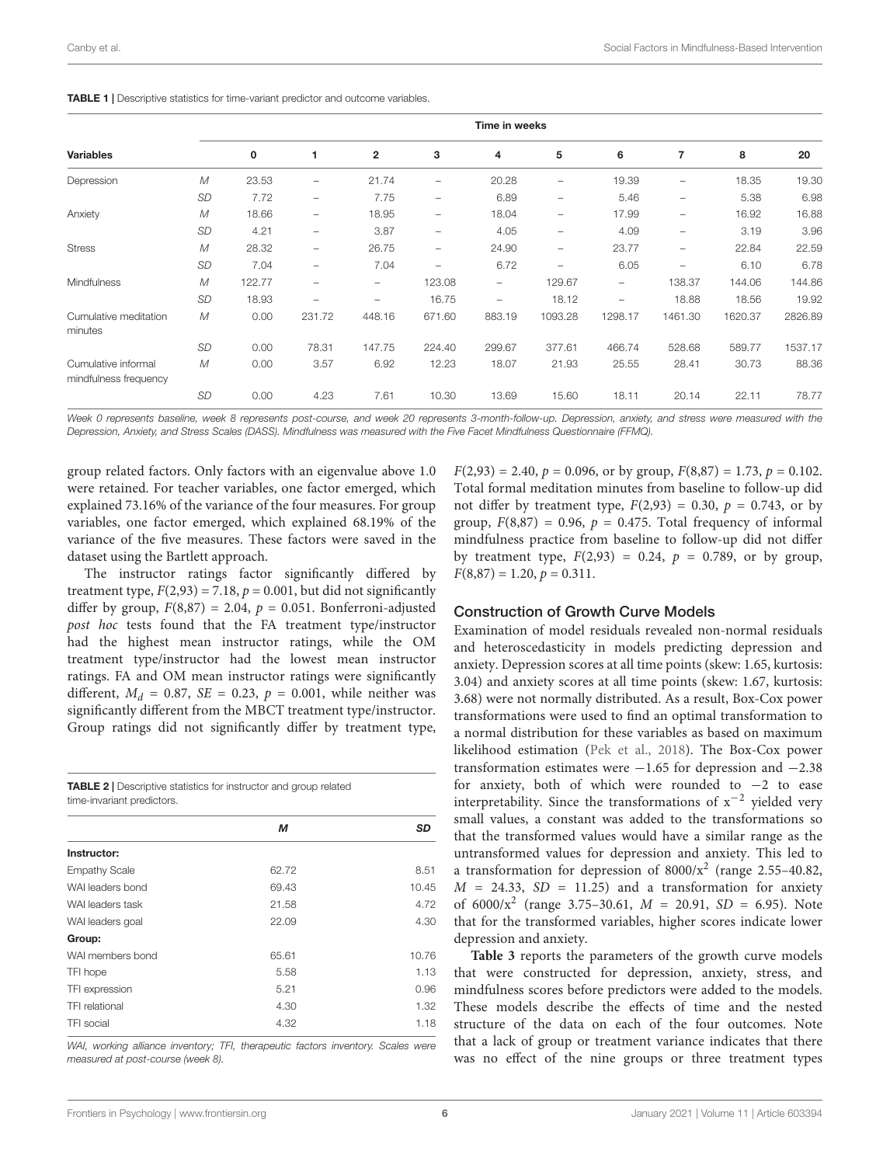<span id="page-5-0"></span>

| <b>Variables</b>                             |              | Time in weeks |                          |                          |                          |                          |                          |                          |                          |         |         |  |  |
|----------------------------------------------|--------------|---------------|--------------------------|--------------------------|--------------------------|--------------------------|--------------------------|--------------------------|--------------------------|---------|---------|--|--|
|                                              |              | 0             | 1                        | $\overline{2}$           | 3                        | 4                        | 5                        | 6                        | 7                        | 8       | 20      |  |  |
| Depression                                   | M            | 23.53         | $\overline{\phantom{a}}$ | 21.74                    | -                        | 20.28                    | -                        | 19.39                    | -                        | 18.35   | 19.30   |  |  |
|                                              | <b>SD</b>    | 7.72          | $\qquad \qquad -$        | 7.75                     | $\qquad \qquad -$        | 6.89                     | -                        | 5.46                     | -                        | 5.38    | 6.98    |  |  |
| Anxiety                                      | M            | 18.66         | $\qquad \qquad -$        | 18.95                    | $\overline{\phantom{0}}$ | 18.04                    | $\overline{\phantom{0}}$ | 17.99                    | $\overline{\phantom{0}}$ | 16.92   | 16.88   |  |  |
|                                              | <b>SD</b>    | 4.21          | $\qquad \qquad -$        | 3.87                     | $\overline{\phantom{0}}$ | 4.05                     | $\overline{\phantom{0}}$ | 4.09                     | $\overline{\phantom{0}}$ | 3.19    | 3.96    |  |  |
| <b>Stress</b>                                | $\mathcal M$ | 28.32         | $\qquad \qquad -$        | 26.75                    | $\overline{\phantom{0}}$ | 24.90                    | $\overline{\phantom{0}}$ | 23.77                    | $\overline{\phantom{0}}$ | 22.84   | 22.59   |  |  |
|                                              | <b>SD</b>    | 7.04          | $\overline{\phantom{a}}$ | 7.04                     | $\overline{\phantom{0}}$ | 6.72                     | $\overline{\phantom{0}}$ | 6.05                     | -                        | 6.10    | 6.78    |  |  |
| <b>Mindfulness</b>                           | $\mathcal M$ | 122.77        | $\overline{\phantom{a}}$ | $\overline{\phantom{a}}$ | 123.08                   | $\overline{\phantom{m}}$ | 129.67                   | $\overline{\phantom{m}}$ | 138.37                   | 144.06  | 144.86  |  |  |
|                                              | <b>SD</b>    | 18.93         | $\overline{\phantom{a}}$ | $\overline{\phantom{a}}$ | 16.75                    | $\overline{\phantom{0}}$ | 18.12                    | $\overline{\phantom{m}}$ | 18.88                    | 18.56   | 19.92   |  |  |
| Cumulative meditation<br>minutes             | M            | 0.00          | 231.72                   | 448.16                   | 671.60                   | 883.19                   | 1093.28                  | 1298.17                  | 1461.30                  | 1620.37 | 2826.89 |  |  |
|                                              | <b>SD</b>    | 0.00          | 78.31                    | 147.75                   | 224.40                   | 299.67                   | 377.61                   | 466.74                   | 528.68                   | 589.77  | 1537.17 |  |  |
| Cumulative informal<br>mindfulness frequency | M            | 0.00          | 3.57                     | 6.92                     | 12.23                    | 18.07                    | 21.93                    | 25.55                    | 28.41                    | 30.73   | 88.36   |  |  |
|                                              | <b>SD</b>    | 0.00          | 4.23                     | 7.61                     | 10.30                    | 13.69                    | 15.60                    | 18.11                    | 20.14                    | 22.11   | 78.77   |  |  |

Week 0 represents baseline, week 8 represents post-course, and week 20 represents 3-month-follow-up. Depression, anxiety, and stress were measured with the Depression, Anxiety, and Stress Scales (DASS). Mindfulness was measured with the Five Facet Mindfulness Questionnaire (FFMQ).

group related factors. Only factors with an eigenvalue above 1.0 were retained. For teacher variables, one factor emerged, which explained 73.16% of the variance of the four measures. For group variables, one factor emerged, which explained 68.19% of the variance of the five measures. These factors were saved in the dataset using the Bartlett approach.

The instructor ratings factor significantly differed by treatment type,  $F(2,93) = 7.18$ ,  $p = 0.001$ , but did not significantly differ by group,  $F(8,87) = 2.04$ ,  $p = 0.051$ . Bonferroni-adjusted post hoc tests found that the FA treatment type/instructor had the highest mean instructor ratings, while the OM treatment type/instructor had the lowest mean instructor ratings. FA and OM mean instructor ratings were significantly different,  $M_d = 0.87$ ,  $SE = 0.23$ ,  $p = 0.001$ , while neither was significantly different from the MBCT treatment type/instructor. Group ratings did not significantly differ by treatment type,

<span id="page-5-1"></span>TABLE 2 | Descriptive statistics for instructor and group related time-invariant predictors.

|                      | М     | SD    |
|----------------------|-------|-------|
| Instructor:          |       |       |
| <b>Empathy Scale</b> | 62.72 | 8.51  |
| WAI leaders bond     | 69.43 | 10.45 |
| WAI leaders task     | 21.58 | 4.72  |
| WAI leaders goal     | 22.09 | 4.30  |
| Group:               |       |       |
| WAI members bond     | 65.61 | 10.76 |
| TFI hope             | 5.58  | 1.13  |
| TFI expression       | 5.21  | 0.96  |
| TFI relational       | 4.30  | 1.32  |
| <b>TFI</b> social    | 4.32  | 1.18  |

WAI, working alliance inventory; TFI, therapeutic factors inventory. Scales were measured at post-course (week 8).

 $F(2,93) = 2.40, p = 0.096,$  or by group,  $F(8,87) = 1.73, p = 0.102$ . Total formal meditation minutes from baseline to follow-up did not differ by treatment type,  $F(2,93) = 0.30$ ,  $p = 0.743$ , or by group,  $F(8,87) = 0.96$ ,  $p = 0.475$ . Total frequency of informal mindfulness practice from baseline to follow-up did not differ by treatment type,  $F(2,93) = 0.24$ ,  $p = 0.789$ , or by group,  $F(8,87) = 1.20, p = 0.311.$ 

#### Construction of Growth Curve Models

Examination of model residuals revealed non-normal residuals and heteroscedasticity in models predicting depression and anxiety. Depression scores at all time points (skew: 1.65, kurtosis: 3.04) and anxiety scores at all time points (skew: 1.67, kurtosis: 3.68) were not normally distributed. As a result, Box-Cox power transformations were used to find an optimal transformation to a normal distribution for these variables as based on maximum likelihood estimation [\(Pek et al.,](#page-15-28) [2018\)](#page-15-28). The Box-Cox power transformation estimates were −1.65 for depression and −2.38 for anxiety, both of which were rounded to −2 to ease interpretability. Since the transformations of  $x^{-2}$  yielded very small values, a constant was added to the transformations so that the transformed values would have a similar range as the untransformed values for depression and anxiety. This led to a transformation for depression of  $8000/x^2$  (range 2.55-40.82,  $M = 24.33$ ,  $SD = 11.25$ ) and a transformation for anxiety of  $6000/x^2$  (range 3.75-30.61,  $M = 20.91$ ,  $SD = 6.95$ ). Note that for the transformed variables, higher scores indicate lower depression and anxiety.

**[Table 3](#page-7-0)** reports the parameters of the growth curve models that were constructed for depression, anxiety, stress, and mindfulness scores before predictors were added to the models. These models describe the effects of time and the nested structure of the data on each of the four outcomes. Note that a lack of group or treatment variance indicates that there was no effect of the nine groups or three treatment types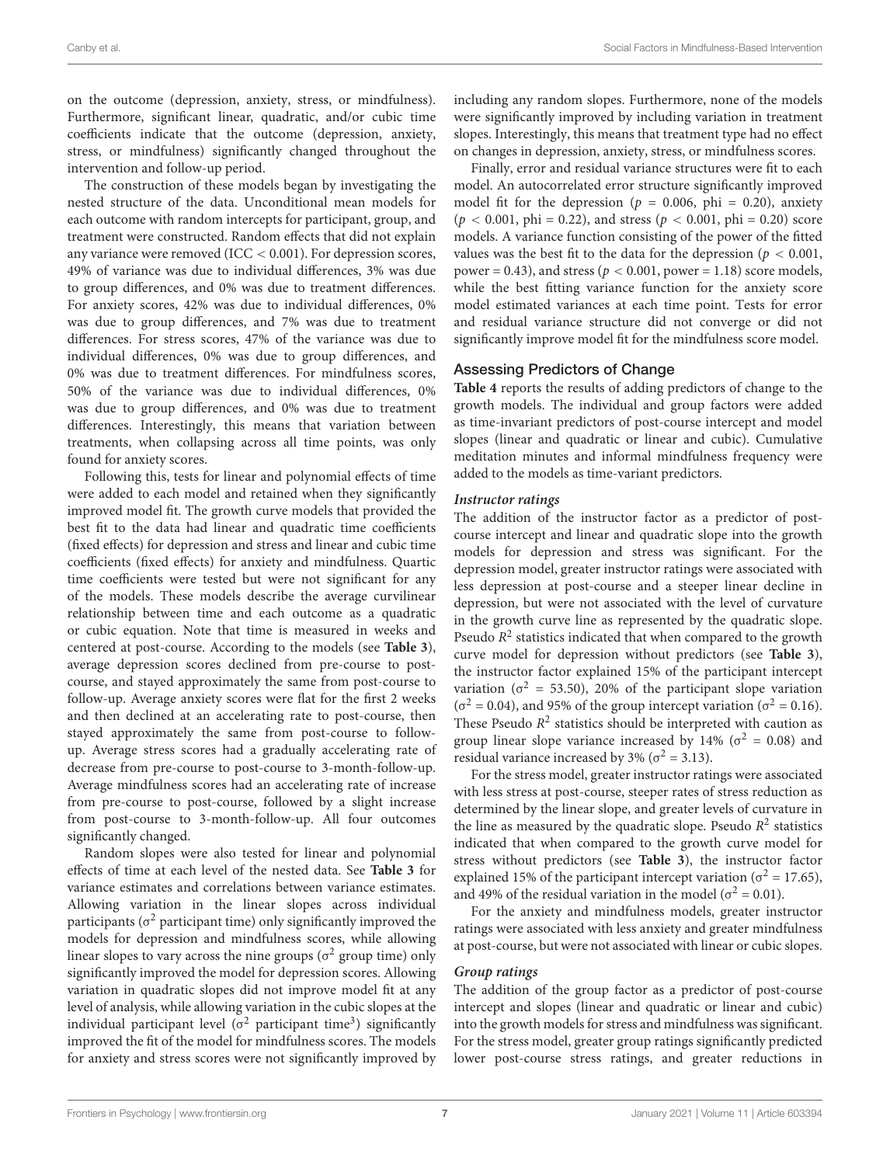on the outcome (depression, anxiety, stress, or mindfulness). Furthermore, significant linear, quadratic, and/or cubic time coefficients indicate that the outcome (depression, anxiety, stress, or mindfulness) significantly changed throughout the intervention and follow-up period.

The construction of these models began by investigating the nested structure of the data. Unconditional mean models for each outcome with random intercepts for participant, group, and treatment were constructed. Random effects that did not explain any variance were removed (ICC < 0.001). For depression scores, 49% of variance was due to individual differences, 3% was due to group differences, and 0% was due to treatment differences. For anxiety scores, 42% was due to individual differences, 0% was due to group differences, and 7% was due to treatment differences. For stress scores, 47% of the variance was due to individual differences, 0% was due to group differences, and 0% was due to treatment differences. For mindfulness scores, 50% of the variance was due to individual differences, 0% was due to group differences, and 0% was due to treatment differences. Interestingly, this means that variation between treatments, when collapsing across all time points, was only found for anxiety scores.

Following this, tests for linear and polynomial effects of time were added to each model and retained when they significantly improved model fit. The growth curve models that provided the best fit to the data had linear and quadratic time coefficients (fixed effects) for depression and stress and linear and cubic time coefficients (fixed effects) for anxiety and mindfulness. Quartic time coefficients were tested but were not significant for any of the models. These models describe the average curvilinear relationship between time and each outcome as a quadratic or cubic equation. Note that time is measured in weeks and centered at post-course. According to the models (see **[Table 3](#page-7-0)**), average depression scores declined from pre-course to postcourse, and stayed approximately the same from post-course to follow-up. Average anxiety scores were flat for the first 2 weeks and then declined at an accelerating rate to post-course, then stayed approximately the same from post-course to followup. Average stress scores had a gradually accelerating rate of decrease from pre-course to post-course to 3-month-follow-up. Average mindfulness scores had an accelerating rate of increase from pre-course to post-course, followed by a slight increase from post-course to 3-month-follow-up. All four outcomes significantly changed.

Random slopes were also tested for linear and polynomial effects of time at each level of the nested data. See **[Table 3](#page-7-0)** for variance estimates and correlations between variance estimates. Allowing variation in the linear slopes across individual participants ( $\sigma^2$  participant time) only significantly improved the models for depression and mindfulness scores, while allowing linear slopes to vary across the nine groups ( $\sigma^2$  group time) only significantly improved the model for depression scores. Allowing variation in quadratic slopes did not improve model fit at any level of analysis, while allowing variation in the cubic slopes at the individual participant level ( $\sigma^2$  participant time<sup>3</sup>) significantly improved the fit of the model for mindfulness scores. The models for anxiety and stress scores were not significantly improved by including any random slopes. Furthermore, none of the models were significantly improved by including variation in treatment slopes. Interestingly, this means that treatment type had no effect on changes in depression, anxiety, stress, or mindfulness scores.

Finally, error and residual variance structures were fit to each model. An autocorrelated error structure significantly improved model fit for the depression ( $p = 0.006$ , phi = 0.20), anxiety  $(p < 0.001, \text{phi} = 0.22)$ , and stress  $(p < 0.001, \text{phi} = 0.20)$  score models. A variance function consisting of the power of the fitted values was the best fit to the data for the depression ( $p < 0.001$ , power = 0.43), and stress ( $p < 0.001$ , power = 1.18) score models, while the best fitting variance function for the anxiety score model estimated variances at each time point. Tests for error and residual variance structure did not converge or did not significantly improve model fit for the mindfulness score model.

#### Assessing Predictors of Change

**[Table 4](#page-7-1)** reports the results of adding predictors of change to the growth models. The individual and group factors were added as time-invariant predictors of post-course intercept and model slopes (linear and quadratic or linear and cubic). Cumulative meditation minutes and informal mindfulness frequency were added to the models as time-variant predictors.

#### **Instructor ratings**

The addition of the instructor factor as a predictor of postcourse intercept and linear and quadratic slope into the growth models for depression and stress was significant. For the depression model, greater instructor ratings were associated with less depression at post-course and a steeper linear decline in depression, but were not associated with the level of curvature in the growth curve line as represented by the quadratic slope. Pseudo  $R^2$  statistics indicated that when compared to the growth curve model for depression without predictors (see **[Table 3](#page-7-0)**), the instructor factor explained 15% of the participant intercept variation ( $\sigma^2$  = 53.50), 20% of the participant slope variation ( $\sigma^2$  = 0.04), and 95% of the group intercept variation ( $\sigma^2$  = 0.16). These Pseudo  $R^2$  statistics should be interpreted with caution as group linear slope variance increased by 14% ( $\sigma^2 = 0.08$ ) and residual variance increased by 3% ( $\sigma^2$  = 3.13).

For the stress model, greater instructor ratings were associated with less stress at post-course, steeper rates of stress reduction as determined by the linear slope, and greater levels of curvature in the line as measured by the quadratic slope. Pseudo  $R^2$  statistics indicated that when compared to the growth curve model for stress without predictors (see **[Table 3](#page-7-0)**), the instructor factor explained 15% of the participant intercept variation ( $\sigma^2$  = 17.65), and 49% of the residual variation in the model ( $\sigma^2 = 0.01$ ).

For the anxiety and mindfulness models, greater instructor ratings were associated with less anxiety and greater mindfulness at post-course, but were not associated with linear or cubic slopes.

#### **Group ratings**

The addition of the group factor as a predictor of post-course intercept and slopes (linear and quadratic or linear and cubic) into the growth models for stress and mindfulness was significant. For the stress model, greater group ratings significantly predicted lower post-course stress ratings, and greater reductions in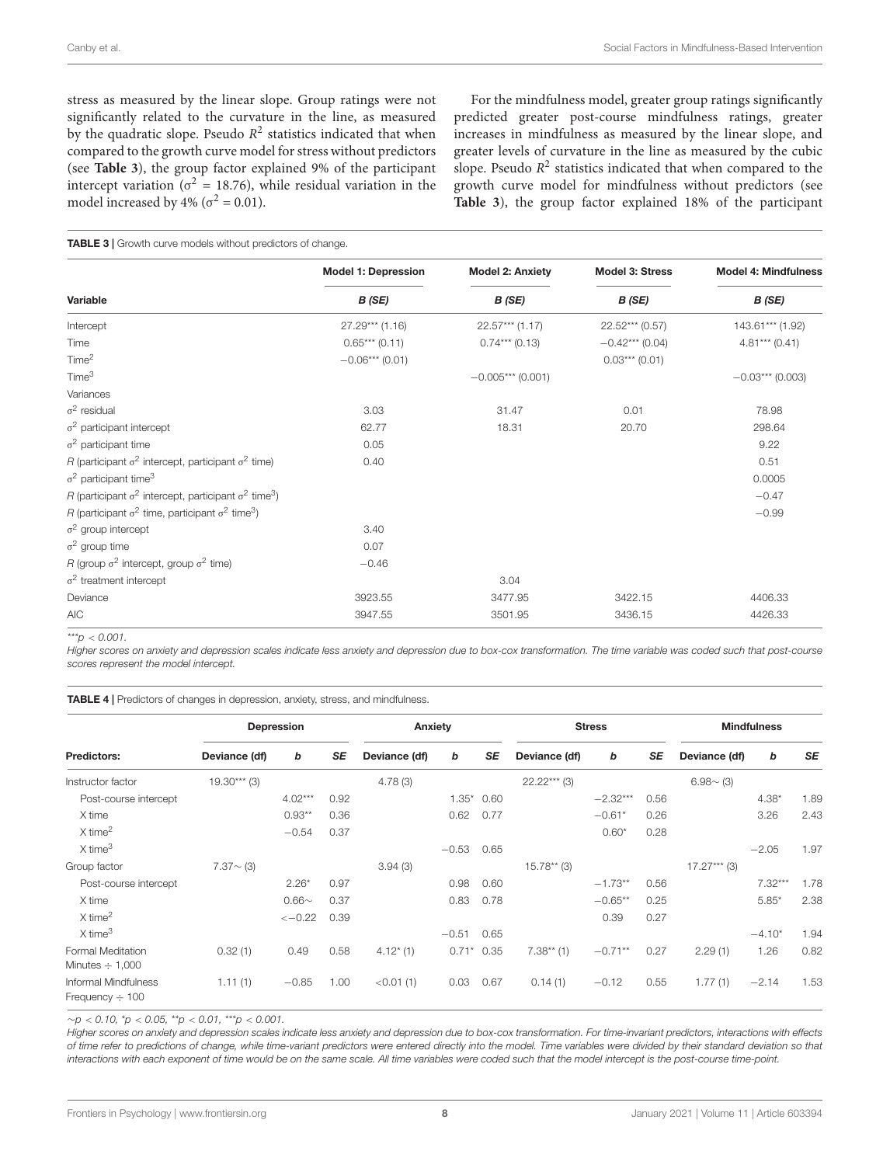stress as measured by the linear slope. Group ratings were not significantly related to the curvature in the line, as measured by the quadratic slope. Pseudo  $R^2$  statistics indicated that when compared to the growth curve model for stress without predictors (see **[Table 3](#page-7-0)**), the group factor explained 9% of the participant intercept variation ( $\sigma^2 = 18.76$ ), while residual variation in the model increased by 4% ( $\sigma^2$  = 0.01).

For the mindfulness model, greater group ratings significantly predicted greater post-course mindfulness ratings, greater increases in mindfulness as measured by the linear slope, and greater levels of curvature in the line as measured by the cubic slope. Pseudo  $R^2$  statistics indicated that when compared to the growth curve model for mindfulness without predictors (see **[Table 3](#page-7-0)**), the group factor explained 18% of the participant

<span id="page-7-0"></span>

| <b>TABLE 3</b>   Growth curve models without predictors of change. |  |  |
|--------------------------------------------------------------------|--|--|
|--------------------------------------------------------------------|--|--|

|                                                                                 | <b>Model 1: Depression</b> | Model 2: Anxiety    | <b>Model 3: Stress</b> | <b>Model 4: Mindfulness</b><br>B (SE) |  |
|---------------------------------------------------------------------------------|----------------------------|---------------------|------------------------|---------------------------------------|--|
| Variable                                                                        | B (SE)                     | B (SE)              | B (SE)                 |                                       |  |
| Intercept                                                                       | $27.29***$ (1.16)          | $22.57***$ (1.17)   | 22.52*** (0.57)        | 143.61*** (1.92)                      |  |
| Time                                                                            | $0.65***(0.11)$            | $0.74***$ (0.13)    | $-0.42***$ (0.04)      | $4.81***$ (0.41)                      |  |
| Time <sup>2</sup>                                                               | $-0.06***(0.01)$           |                     | $0.03***$ (0.01)       |                                       |  |
| Time <sup>3</sup>                                                               |                            | $-0.005***$ (0.001) |                        | $-0.03***$ (0.003)                    |  |
| Variances                                                                       |                            |                     |                        |                                       |  |
| $\sigma^2$ residual                                                             | 3.03                       | 31.47               | 0.01                   | 78.98                                 |  |
| $\sigma^2$ participant intercept                                                | 62.77                      | 18.31               | 20.70                  | 298.64                                |  |
| $\sigma^2$ participant time                                                     | 0.05                       |                     |                        | 9.22                                  |  |
| R (participant $\sigma^2$ intercept, participant $\sigma^2$ time)               | 0.40                       |                     |                        | 0.51                                  |  |
| $\sigma^2$ participant time <sup>3</sup>                                        |                            |                     |                        | 0.0005                                |  |
| R (participant $\sigma^2$ intercept, participant $\sigma^2$ time <sup>3</sup> ) |                            |                     |                        | $-0.47$                               |  |
| R (participant $\sigma^2$ time, participant $\sigma^2$ time <sup>3</sup> )      |                            |                     |                        | $-0.99$                               |  |
| $\sigma^2$ group intercept                                                      | 3.40                       |                     |                        |                                       |  |
| $\sigma^2$ group time                                                           | 0.07                       |                     |                        |                                       |  |
| R (group $\sigma^2$ intercept, group $\sigma^2$ time)                           | $-0.46$                    |                     |                        |                                       |  |
| $\sigma^2$ treatment intercept                                                  |                            | 3.04                |                        |                                       |  |
| Deviance                                                                        | 3923.55                    | 3477.95             | 3422.15                | 4406.33                               |  |
| <b>AIC</b>                                                                      | 3947.55                    | 3501.95             | 3436.15                | 4426.33                               |  |

\*\*\*p  $< 0.001$ .

Higher scores on anxiety and depression scales indicate less anxiety and depression due to box-cox transformation. The time variable was coded such that post-course scores represent the model intercept.

<span id="page-7-1"></span>TABLE 4 | Predictors of changes in depression, anxiety, stress, and mindfulness.

| <b>Predictors:</b>                           | Depression      |            |           | Anxiety       |              |           | <b>Stress</b>  |            |           | <b>Mindfulness</b> |           |      |
|----------------------------------------------|-----------------|------------|-----------|---------------|--------------|-----------|----------------|------------|-----------|--------------------|-----------|------|
|                                              | Deviance (df)   | b          | <b>SE</b> | Deviance (df) | b            | <b>SE</b> | Deviance (df)  | b          | <b>SE</b> | Deviance (df)      | b         | SE   |
| Instructor factor                            | $19.30***$ (3)  |            |           | 4.78(3)       |              |           | $22.22***$ (3) |            |           | $6.98 \sim (3)$    |           |      |
| Post-course intercept                        |                 | $4.02***$  | 0.92      |               | $1.35*$      | 0.60      |                | $-2.32***$ | 0.56      |                    | $4.38*$   | 1.89 |
| X time                                       |                 | $0.93**$   | 0.36      |               | 0.62         | 0.77      |                | $-0.61*$   | 0.26      |                    | 3.26      | 2.43 |
| $X$ time <sup>2</sup>                        |                 | $-0.54$    | 0.37      |               |              |           |                | $0.60*$    | 0.28      |                    |           |      |
| $X$ time <sup>3</sup>                        |                 |            |           |               | $-0.53$      | 0.65      |                |            |           |                    | $-2.05$   | 1.97 |
| Group factor                                 | $7.37 \sim (3)$ |            |           | 3.94(3)       |              |           | $15.78**$ (3)  |            |           | $17.27***$ (3)     |           |      |
| Post-course intercept                        |                 | $2.26*$    | 0.97      |               | 0.98         | 0.60      |                | $-1.73**$  | 0.56      |                    | $7.32***$ | 1.78 |
| X time                                       |                 | $0.66\sim$ | 0.37      |               | 0.83         | 0.78      |                | $-0.65**$  | 0.25      |                    | $5.85*$   | 2.38 |
| $X$ time <sup>2</sup>                        |                 | $<-0.22$   | 0.39      |               |              |           |                | 0.39       | 0.27      |                    |           |      |
| $X$ time <sup>3</sup>                        |                 |            |           |               | $-0.51$      | 0.65      |                |            |           |                    | $-4.10*$  | 1.94 |
| Formal Meditation<br>Minutes $\div$ 1,000    | 0.32(1)         | 0.49       | 0.58      | $4.12*(1)$    | $0.71*$ 0.35 |           | $7.38**$ (1)   | $-0.71**$  | 0.27      | 2.29(1)            | 1.26      | 0.82 |
| Informal Mindfulness<br>Frequency $\div$ 100 | 1.11(1)         | $-0.85$    | 1.00      | $<$ 0.01 (1)  | 0.03         | 0.67      | 0.14(1)        | $-0.12$    | 0.55      | 1.77(1)            | $-2.14$   | 1.53 |

 $~\sim p$  < 0.10,  $~p$  < 0.05,  $~^{**}p$  < 0.01,  $~^{***}p$  < 0.001.

Higher scores on anxiety and depression scales indicate less anxiety and depression due to box-cox transformation. For time-invariant predictors, interactions with effects of time refer to predictions of change, while time-variant predictors were entered directly into the model. Time variables were divided by their standard deviation so that interactions with each exponent of time would be on the same scale. All time variables were coded such that the model intercept is the post-course time-point.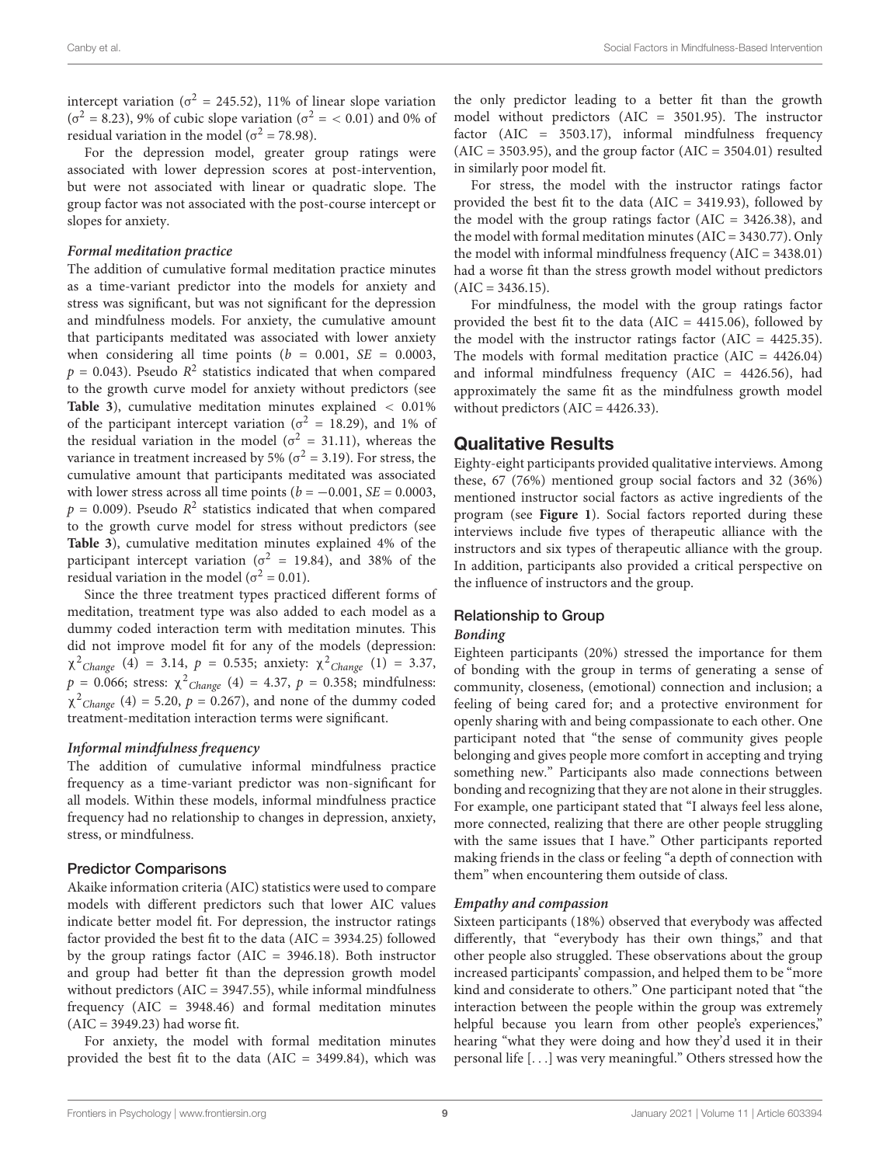intercept variation ( $\sigma^2 = 245.52$ ), 11% of linear slope variation ( $\sigma^2$  = 8.23), 9% of cubic slope variation ( $\sigma^2$  = < 0.01) and 0% of residual variation in the model ( $\sigma^2$  = 78.98).

For the depression model, greater group ratings were associated with lower depression scores at post-intervention, but were not associated with linear or quadratic slope. The group factor was not associated with the post-course intercept or slopes for anxiety.

#### **Formal meditation practice**

The addition of cumulative formal meditation practice minutes as a time-variant predictor into the models for anxiety and stress was significant, but was not significant for the depression and mindfulness models. For anxiety, the cumulative amount that participants meditated was associated with lower anxiety when considering all time points ( $b = 0.001$ ,  $SE = 0.0003$ ,  $p = 0.043$ ). Pseudo  $R^2$  statistics indicated that when compared to the growth curve model for anxiety without predictors (see **[Table 3](#page-7-0)**), cumulative meditation minutes explained < 0.01% of the participant intercept variation ( $\sigma^2$  = 18.29), and 1% of the residual variation in the model ( $\sigma^2 = 31.11$ ), whereas the variance in treatment increased by 5% ( $\sigma^2$  = 3.19). For stress, the cumulative amount that participants meditated was associated with lower stress across all time points ( $b = -0.001$ ,  $SE = 0.0003$ ,  $p = 0.009$ ). Pseudo  $R^2$  statistics indicated that when compared to the growth curve model for stress without predictors (see **[Table 3](#page-7-0)**), cumulative meditation minutes explained 4% of the participant intercept variation ( $\sigma^2$  = 19.84), and 38% of the residual variation in the model ( $\sigma^2 = 0.01$ ).

Since the three treatment types practiced different forms of meditation, treatment type was also added to each model as a dummy coded interaction term with meditation minutes. This did not improve model fit for any of the models (depression:  $\chi^2$ Change (4) = 3.14,  $p = 0.535$ ; anxiety:  $\chi^2$ Change (1) = 3.37,  $p = 0.066$ ; stress:  $\chi^2$ <sub>Change</sub> (4) = 4.37,  $p = 0.358$ ; mindfulness:  $\chi^2$ <sub>Change</sub> (4) = 5.20, p = 0.267), and none of the dummy coded treatment-meditation interaction terms were significant.

#### **Informal mindfulness frequency**

The addition of cumulative informal mindfulness practice frequency as a time-variant predictor was non-significant for all models. Within these models, informal mindfulness practice frequency had no relationship to changes in depression, anxiety, stress, or mindfulness.

#### Predictor Comparisons

Akaike information criteria (AIC) statistics were used to compare models with different predictors such that lower AIC values indicate better model fit. For depression, the instructor ratings factor provided the best fit to the data (AIC = 3934.25) followed by the group ratings factor ( $AIC = 3946.18$ ). Both instructor and group had better fit than the depression growth model without predictors (AIC = 3947.55), while informal mindfulness frequency (AIC = 3948.46) and formal meditation minutes (AIC = 3949.23) had worse fit.

For anxiety, the model with formal meditation minutes provided the best fit to the data (AIC = 3499.84), which was

the only predictor leading to a better fit than the growth model without predictors (AIC = 3501.95). The instructor factor (AIC = 3503.17), informal mindfulness frequency  $(AIC = 3503.95)$ , and the group factor  $(AIC = 3504.01)$  resulted in similarly poor model fit.

For stress, the model with the instructor ratings factor provided the best fit to the data (AIC = 3419.93), followed by the model with the group ratings factor (AIC =  $3426.38$ ), and the model with formal meditation minutes (AIC = 3430.77). Only the model with informal mindfulness frequency (AIC = 3438.01) had a worse fit than the stress growth model without predictors  $(AIC = 3436.15)$ .

For mindfulness, the model with the group ratings factor provided the best fit to the data (AIC =  $4415.06$ ), followed by the model with the instructor ratings factor ( $AIC = 4425.35$ ). The models with formal meditation practice  $(AIC = 4426.04)$ and informal mindfulness frequency (AIC =  $4426.56$ ), had approximately the same fit as the mindfulness growth model without predictors  $(AIC = 4426.33)$ .

## Qualitative Results

Eighty-eight participants provided qualitative interviews. Among these, 67 (76%) mentioned group social factors and 32 (36%) mentioned instructor social factors as active ingredients of the program (see **[Figure 1](#page-9-0)**). Social factors reported during these interviews include five types of therapeutic alliance with the instructors and six types of therapeutic alliance with the group. In addition, participants also provided a critical perspective on the influence of instructors and the group.

#### Relationship to Group

#### **Bonding**

Eighteen participants (20%) stressed the importance for them of bonding with the group in terms of generating a sense of community, closeness, (emotional) connection and inclusion; a feeling of being cared for; and a protective environment for openly sharing with and being compassionate to each other. One participant noted that "the sense of community gives people belonging and gives people more comfort in accepting and trying something new." Participants also made connections between bonding and recognizing that they are not alone in their struggles. For example, one participant stated that "I always feel less alone, more connected, realizing that there are other people struggling with the same issues that I have." Other participants reported making friends in the class or feeling "a depth of connection with them" when encountering them outside of class.

#### **Empathy and compassion**

Sixteen participants (18%) observed that everybody was affected differently, that "everybody has their own things," and that other people also struggled. These observations about the group increased participants' compassion, and helped them to be "more kind and considerate to others." One participant noted that "the interaction between the people within the group was extremely helpful because you learn from other people's experiences," hearing "what they were doing and how they'd used it in their personal life [. . .] was very meaningful." Others stressed how the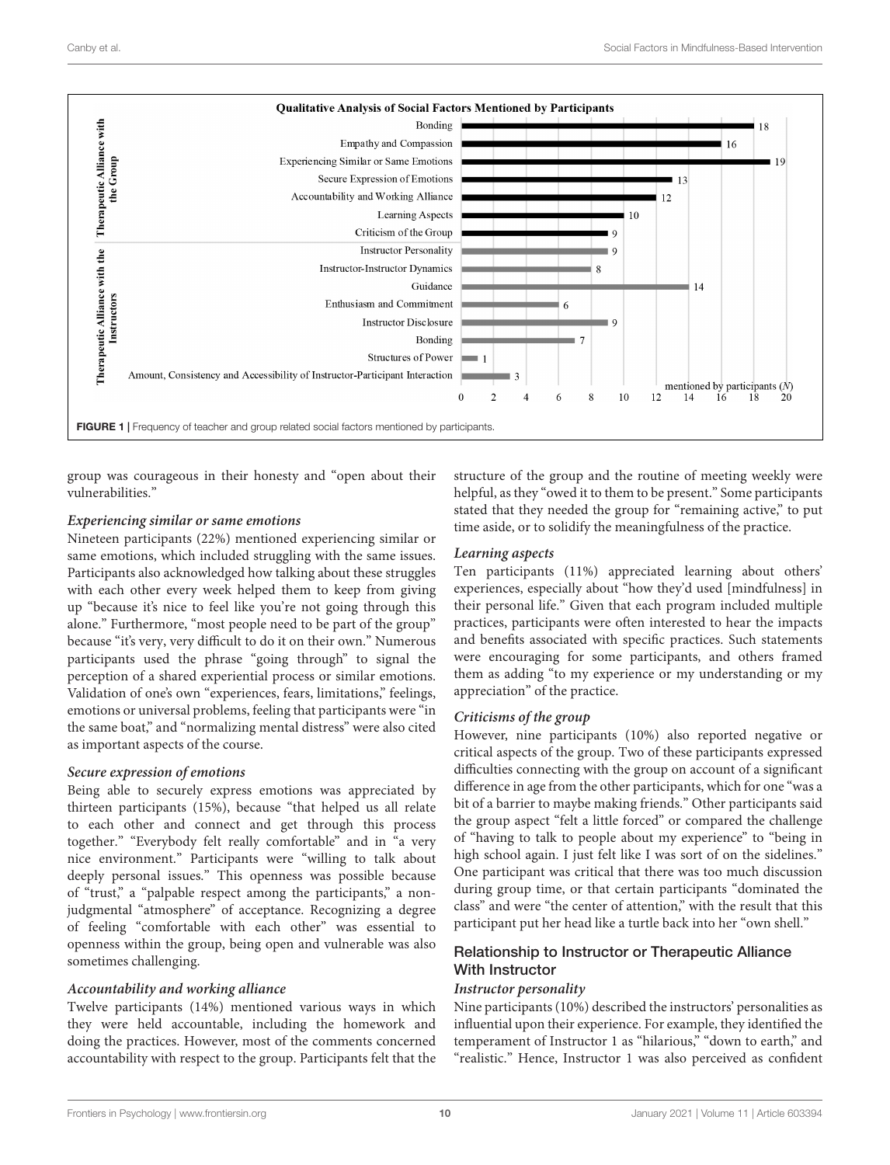

<span id="page-9-0"></span>group was courageous in their honesty and "open about their vulnerabilities."

#### **Experiencing similar or same emotions**

Nineteen participants (22%) mentioned experiencing similar or same emotions, which included struggling with the same issues. Participants also acknowledged how talking about these struggles with each other every week helped them to keep from giving up "because it's nice to feel like you're not going through this alone." Furthermore, "most people need to be part of the group" because "it's very, very difficult to do it on their own." Numerous participants used the phrase "going through" to signal the perception of a shared experiential process or similar emotions. Validation of one's own "experiences, fears, limitations," feelings, emotions or universal problems, feeling that participants were "in the same boat," and "normalizing mental distress" were also cited as important aspects of the course.

#### **Secure expression of emotions**

Being able to securely express emotions was appreciated by thirteen participants (15%), because "that helped us all relate to each other and connect and get through this process together." "Everybody felt really comfortable" and in "a very nice environment." Participants were "willing to talk about deeply personal issues." This openness was possible because of "trust," a "palpable respect among the participants," a nonjudgmental "atmosphere" of acceptance. Recognizing a degree of feeling "comfortable with each other" was essential to openness within the group, being open and vulnerable was also sometimes challenging.

#### **Accountability and working alliance**

Twelve participants (14%) mentioned various ways in which they were held accountable, including the homework and doing the practices. However, most of the comments concerned accountability with respect to the group. Participants felt that the

structure of the group and the routine of meeting weekly were helpful, as they "owed it to them to be present." Some participants stated that they needed the group for "remaining active," to put time aside, or to solidify the meaningfulness of the practice.

#### **Learning aspects**

Ten participants (11%) appreciated learning about others' experiences, especially about "how they'd used [mindfulness] in their personal life." Given that each program included multiple practices, participants were often interested to hear the impacts and benefits associated with specific practices. Such statements were encouraging for some participants, and others framed them as adding "to my experience or my understanding or my appreciation" of the practice.

#### **Criticisms of the group**

However, nine participants (10%) also reported negative or critical aspects of the group. Two of these participants expressed difficulties connecting with the group on account of a significant difference in age from the other participants, which for one "was a bit of a barrier to maybe making friends." Other participants said the group aspect "felt a little forced" or compared the challenge of "having to talk to people about my experience" to "being in high school again. I just felt like I was sort of on the sidelines." One participant was critical that there was too much discussion during group time, or that certain participants "dominated the class" and were "the center of attention," with the result that this participant put her head like a turtle back into her "own shell."

## Relationship to Instructor or Therapeutic Alliance With Instructor

#### **Instructor personality**

Nine participants (10%) described the instructors' personalities as influential upon their experience. For example, they identified the temperament of Instructor 1 as "hilarious," "down to earth," and "realistic." Hence, Instructor 1 was also perceived as confident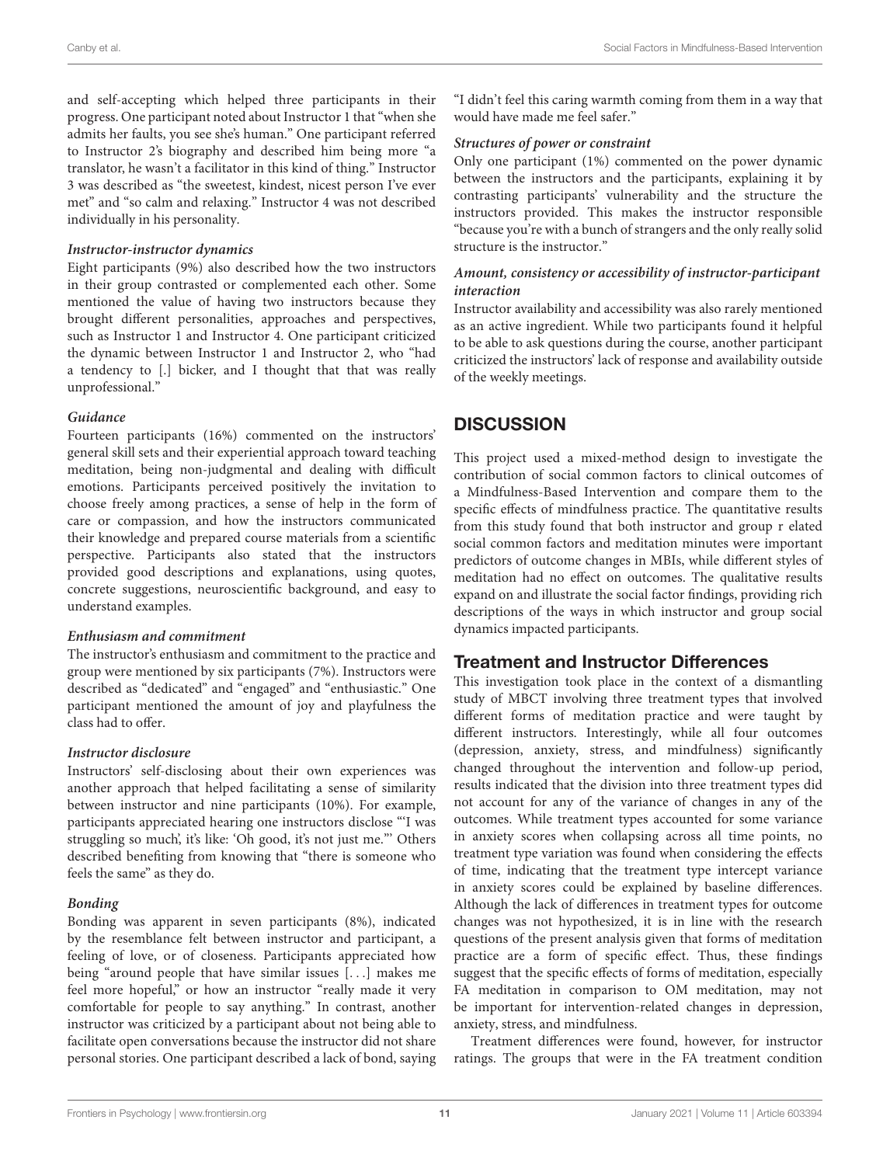and self-accepting which helped three participants in their progress. One participant noted about Instructor 1 that "when she admits her faults, you see she's human." One participant referred to Instructor 2's biography and described him being more "a translator, he wasn't a facilitator in this kind of thing." Instructor 3 was described as "the sweetest, kindest, nicest person I've ever met" and "so calm and relaxing." Instructor 4 was not described individually in his personality.

#### **Instructor-instructor dynamics**

Eight participants (9%) also described how the two instructors in their group contrasted or complemented each other. Some mentioned the value of having two instructors because they brought different personalities, approaches and perspectives, such as Instructor 1 and Instructor 4. One participant criticized the dynamic between Instructor 1 and Instructor 2, who "had a tendency to [.] bicker, and I thought that that was really unprofessional."

#### **Guidance**

Fourteen participants (16%) commented on the instructors' general skill sets and their experiential approach toward teaching meditation, being non-judgmental and dealing with difficult emotions. Participants perceived positively the invitation to choose freely among practices, a sense of help in the form of care or compassion, and how the instructors communicated their knowledge and prepared course materials from a scientific perspective. Participants also stated that the instructors provided good descriptions and explanations, using quotes, concrete suggestions, neuroscientific background, and easy to understand examples.

#### **Enthusiasm and commitment**

The instructor's enthusiasm and commitment to the practice and group were mentioned by six participants (7%). Instructors were described as "dedicated" and "engaged" and "enthusiastic." One participant mentioned the amount of joy and playfulness the class had to offer.

#### **Instructor disclosure**

Instructors' self-disclosing about their own experiences was another approach that helped facilitating a sense of similarity between instructor and nine participants (10%). For example, participants appreciated hearing one instructors disclose "'I was struggling so much', it's like: 'Oh good, it's not just me."' Others described benefiting from knowing that "there is someone who feels the same" as they do.

#### **Bonding**

Bonding was apparent in seven participants (8%), indicated by the resemblance felt between instructor and participant, a feeling of love, or of closeness. Participants appreciated how being "around people that have similar issues [. . .] makes me feel more hopeful," or how an instructor "really made it very comfortable for people to say anything." In contrast, another instructor was criticized by a participant about not being able to facilitate open conversations because the instructor did not share personal stories. One participant described a lack of bond, saying "I didn't feel this caring warmth coming from them in a way that would have made me feel safer."

#### **Structures of power or constraint**

Only one participant (1%) commented on the power dynamic between the instructors and the participants, explaining it by contrasting participants' vulnerability and the structure the instructors provided. This makes the instructor responsible "because you're with a bunch of strangers and the only really solid structure is the instructor."

#### **Amount, consistency or accessibility of instructor-participant interaction**

Instructor availability and accessibility was also rarely mentioned as an active ingredient. While two participants found it helpful to be able to ask questions during the course, another participant criticized the instructors' lack of response and availability outside of the weekly meetings.

# **DISCUSSION**

This project used a mixed-method design to investigate the contribution of social common factors to clinical outcomes of a Mindfulness-Based Intervention and compare them to the specific effects of mindfulness practice. The quantitative results from this study found that both instructor and group r elated social common factors and meditation minutes were important predictors of outcome changes in MBIs, while different styles of meditation had no effect on outcomes. The qualitative results expand on and illustrate the social factor findings, providing rich descriptions of the ways in which instructor and group social dynamics impacted participants.

## Treatment and Instructor Differences

This investigation took place in the context of a dismantling study of MBCT involving three treatment types that involved different forms of meditation practice and were taught by different instructors. Interestingly, while all four outcomes (depression, anxiety, stress, and mindfulness) significantly changed throughout the intervention and follow-up period, results indicated that the division into three treatment types did not account for any of the variance of changes in any of the outcomes. While treatment types accounted for some variance in anxiety scores when collapsing across all time points, no treatment type variation was found when considering the effects of time, indicating that the treatment type intercept variance in anxiety scores could be explained by baseline differences. Although the lack of differences in treatment types for outcome changes was not hypothesized, it is in line with the research questions of the present analysis given that forms of meditation practice are a form of specific effect. Thus, these findings suggest that the specific effects of forms of meditation, especially FA meditation in comparison to OM meditation, may not be important for intervention-related changes in depression, anxiety, stress, and mindfulness.

Treatment differences were found, however, for instructor ratings. The groups that were in the FA treatment condition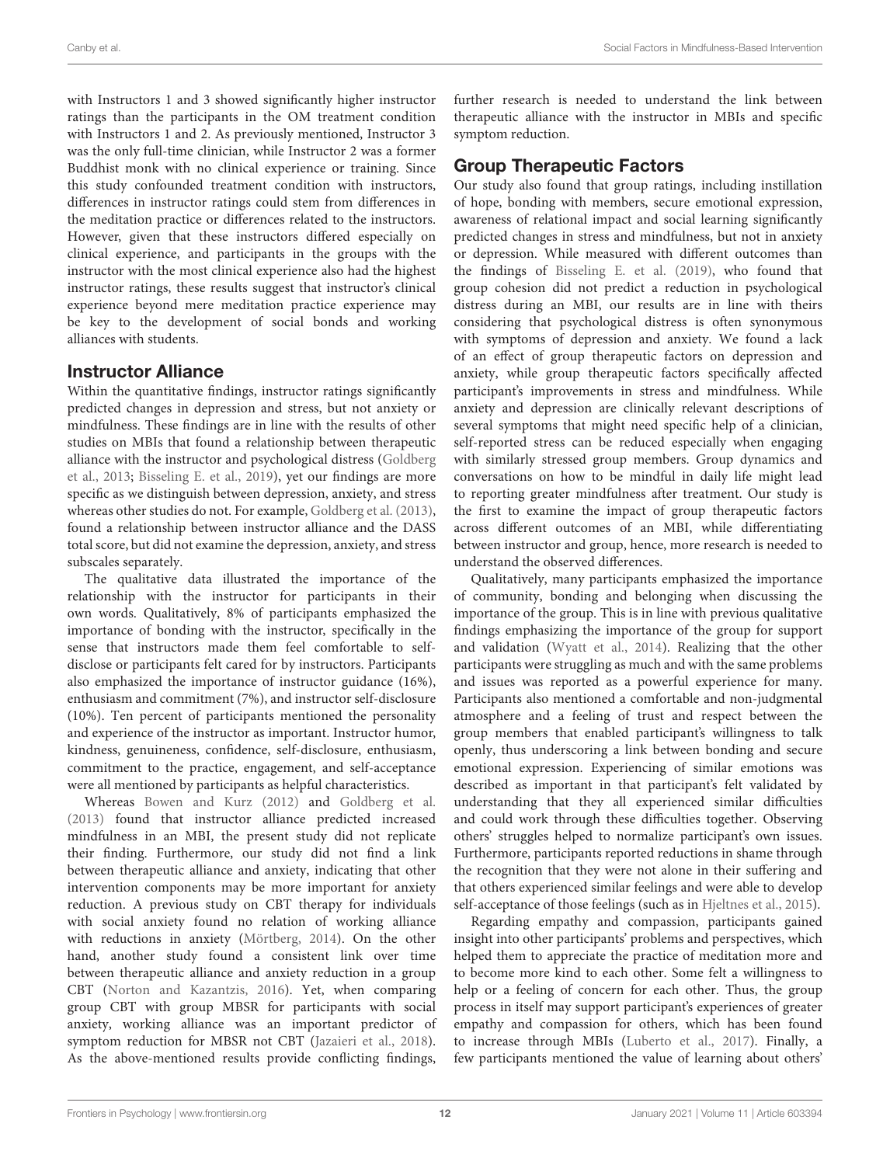with Instructors 1 and 3 showed significantly higher instructor ratings than the participants in the OM treatment condition with Instructors 1 and 2. As previously mentioned, Instructor 3 was the only full-time clinician, while Instructor 2 was a former Buddhist monk with no clinical experience or training. Since this study confounded treatment condition with instructors, differences in instructor ratings could stem from differences in the meditation practice or differences related to the instructors. However, given that these instructors differed especially on clinical experience, and participants in the groups with the instructor with the most clinical experience also had the highest instructor ratings, these results suggest that instructor's clinical experience beyond mere meditation practice experience may be key to the development of social bonds and working alliances with students.

## Instructor Alliance

Within the quantitative findings, instructor ratings significantly predicted changes in depression and stress, but not anxiety or mindfulness. These findings are in line with the results of other studies on MBIs that found a relationship between therapeutic alliance with the instructor and psychological distress [\(Goldberg](#page-14-11) [et al.,](#page-14-11) [2013;](#page-14-11) [Bisseling E. et al.,](#page-14-13) [2019\)](#page-14-13), yet our findings are more specific as we distinguish between depression, anxiety, and stress whereas other studies do not. For example, [Goldberg et al.](#page-14-11) [\(2013\)](#page-14-11), found a relationship between instructor alliance and the DASS total score, but did not examine the depression, anxiety, and stress subscales separately.

The qualitative data illustrated the importance of the relationship with the instructor for participants in their own words. Qualitatively, 8% of participants emphasized the importance of bonding with the instructor, specifically in the sense that instructors made them feel comfortable to selfdisclose or participants felt cared for by instructors. Participants also emphasized the importance of instructor guidance (16%), enthusiasm and commitment (7%), and instructor self-disclosure (10%). Ten percent of participants mentioned the personality and experience of the instructor as important. Instructor humor, kindness, genuineness, confidence, self-disclosure, enthusiasm, commitment to the practice, engagement, and self-acceptance were all mentioned by participants as helpful characteristics.

Whereas [Bowen and Kurz](#page-14-6) [\(2012\)](#page-14-6) and [Goldberg et al.](#page-14-11) [\(2013\)](#page-14-11) found that instructor alliance predicted increased mindfulness in an MBI, the present study did not replicate their finding. Furthermore, our study did not find a link between therapeutic alliance and anxiety, indicating that other intervention components may be more important for anxiety reduction. A previous study on CBT therapy for individuals with social anxiety found no relation of working alliance with reductions in anxiety [\(Mörtberg,](#page-15-29) [2014\)](#page-15-29). On the other hand, another study found a consistent link over time between therapeutic alliance and anxiety reduction in a group CBT [\(Norton and Kazantzis,](#page-15-30) [2016\)](#page-15-30). Yet, when comparing group CBT with group MBSR for participants with social anxiety, working alliance was an important predictor of symptom reduction for MBSR not CBT [\(Jazaieri et al.,](#page-15-22) [2018\)](#page-15-22). As the above-mentioned results provide conflicting findings,

further research is needed to understand the link between therapeutic alliance with the instructor in MBIs and specific symptom reduction.

# Group Therapeutic Factors

Our study also found that group ratings, including instillation of hope, bonding with members, secure emotional expression, awareness of relational impact and social learning significantly predicted changes in stress and mindfulness, but not in anxiety or depression. While measured with different outcomes than the findings of [Bisseling E. et al.](#page-14-13) [\(2019\)](#page-14-13), who found that group cohesion did not predict a reduction in psychological distress during an MBI, our results are in line with theirs considering that psychological distress is often synonymous with symptoms of depression and anxiety. We found a lack of an effect of group therapeutic factors on depression and anxiety, while group therapeutic factors specifically affected participant's improvements in stress and mindfulness. While anxiety and depression are clinically relevant descriptions of several symptoms that might need specific help of a clinician, self-reported stress can be reduced especially when engaging with similarly stressed group members. Group dynamics and conversations on how to be mindful in daily life might lead to reporting greater mindfulness after treatment. Our study is the first to examine the impact of group therapeutic factors across different outcomes of an MBI, while differentiating between instructor and group, hence, more research is needed to understand the observed differences.

Qualitatively, many participants emphasized the importance of community, bonding and belonging when discussing the importance of the group. This is in line with previous qualitative findings emphasizing the importance of the group for support and validation [\(Wyatt et al.,](#page-15-23) [2014\)](#page-15-23). Realizing that the other participants were struggling as much and with the same problems and issues was reported as a powerful experience for many. Participants also mentioned a comfortable and non-judgmental atmosphere and a feeling of trust and respect between the group members that enabled participant's willingness to talk openly, thus underscoring a link between bonding and secure emotional expression. Experiencing of similar emotions was described as important in that participant's felt validated by understanding that they all experienced similar difficulties and could work through these difficulties together. Observing others' struggles helped to normalize participant's own issues. Furthermore, participants reported reductions in shame through the recognition that they were not alone in their suffering and that others experienced similar feelings and were able to develop self-acceptance of those feelings (such as in [Hjeltnes et al.,](#page-14-15) [2015\)](#page-14-15).

Regarding empathy and compassion, participants gained insight into other participants' problems and perspectives, which helped them to appreciate the practice of meditation more and to become more kind to each other. Some felt a willingness to help or a feeling of concern for each other. Thus, the group process in itself may support participant's experiences of greater empathy and compassion for others, which has been found to increase through MBIs [\(Luberto et al.,](#page-15-31) [2017\)](#page-15-31). Finally, a few participants mentioned the value of learning about others'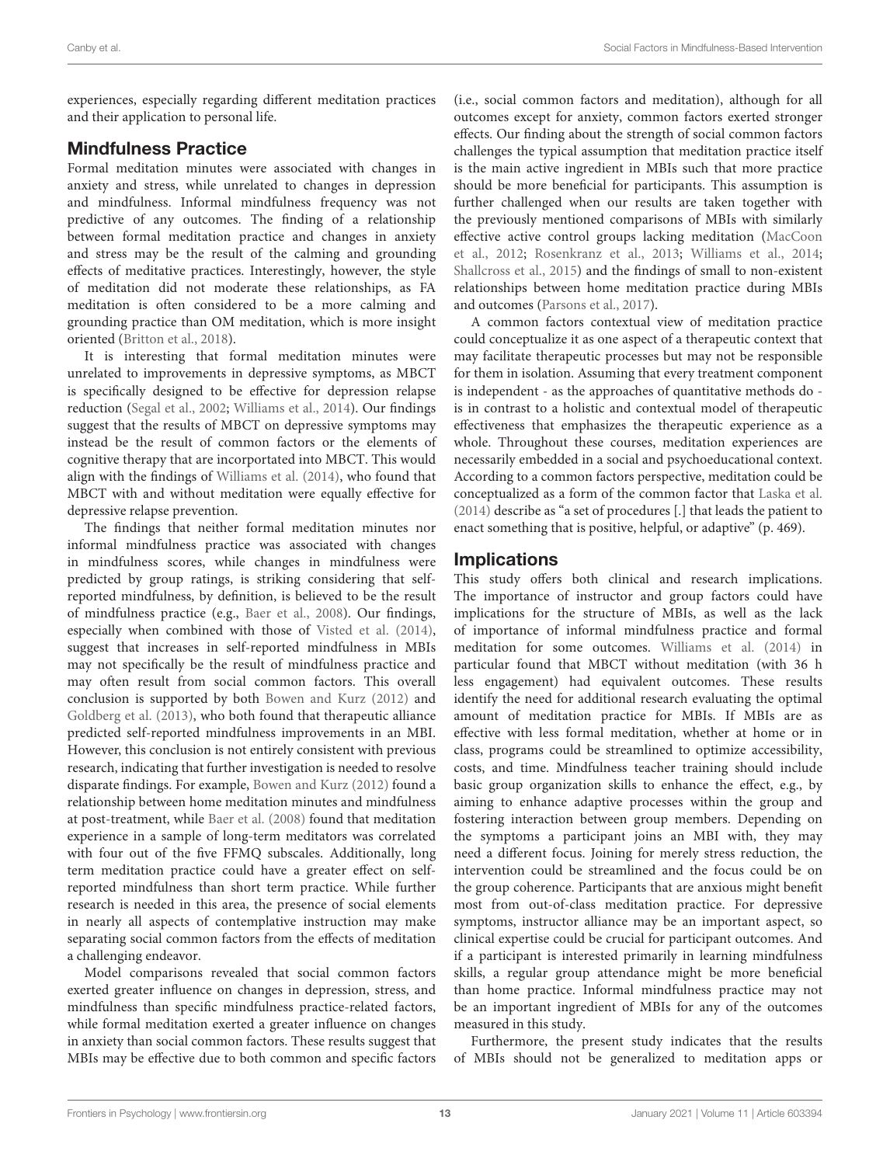experiences, especially regarding different meditation practices and their application to personal life.

## Mindfulness Practice

Formal meditation minutes were associated with changes in anxiety and stress, while unrelated to changes in depression and mindfulness. Informal mindfulness frequency was not predictive of any outcomes. The finding of a relationship between formal meditation practice and changes in anxiety and stress may be the result of the calming and grounding effects of meditative practices. Interestingly, however, the style of meditation did not moderate these relationships, as FA meditation is often considered to be a more calming and grounding practice than OM meditation, which is more insight oriented [\(Britton et al.,](#page-14-17) [2018\)](#page-14-17).

It is interesting that formal meditation minutes were unrelated to improvements in depressive symptoms, as MBCT is specifically designed to be effective for depression relapse reduction [\(Segal et al.,](#page-15-1) [2002;](#page-15-1) [Williams et al.,](#page-15-3) [2014\)](#page-15-3). Our findings suggest that the results of MBCT on depressive symptoms may instead be the result of common factors or the elements of cognitive therapy that are incorportated into MBCT. This would align with the findings of [Williams et al.](#page-15-3) [\(2014\)](#page-15-3), who found that MBCT with and without meditation were equally effective for depressive relapse prevention.

The findings that neither formal meditation minutes nor informal mindfulness practice was associated with changes in mindfulness scores, while changes in mindfulness were predicted by group ratings, is striking considering that selfreported mindfulness, by definition, is believed to be the result of mindfulness practice (e.g., [Baer et al.,](#page-14-4) [2008\)](#page-14-4). Our findings, especially when combined with those of [Visted et al.](#page-15-10) [\(2014\)](#page-15-10), suggest that increases in self-reported mindfulness in MBIs may not specifically be the result of mindfulness practice and may often result from social common factors. This overall conclusion is supported by both [Bowen and Kurz](#page-14-6) [\(2012\)](#page-14-6) and [Goldberg et al.](#page-14-11) [\(2013\)](#page-14-11), who both found that therapeutic alliance predicted self-reported mindfulness improvements in an MBI. However, this conclusion is not entirely consistent with previous research, indicating that further investigation is needed to resolve disparate findings. For example, [Bowen and Kurz](#page-14-6) [\(2012\)](#page-14-6) found a relationship between home meditation minutes and mindfulness at post-treatment, while [Baer et al.](#page-14-4) [\(2008\)](#page-14-4) found that meditation experience in a sample of long-term meditators was correlated with four out of the five FFMQ subscales. Additionally, long term meditation practice could have a greater effect on selfreported mindfulness than short term practice. While further research is needed in this area, the presence of social elements in nearly all aspects of contemplative instruction may make separating social common factors from the effects of meditation a challenging endeavor.

Model comparisons revealed that social common factors exerted greater influence on changes in depression, stress, and mindfulness than specific mindfulness practice-related factors, while formal meditation exerted a greater influence on changes in anxiety than social common factors. These results suggest that MBIs may be effective due to both common and specific factors

(i.e., social common factors and meditation), although for all outcomes except for anxiety, common factors exerted stronger effects. Our finding about the strength of social common factors challenges the typical assumption that meditation practice itself is the main active ingredient in MBIs such that more practice should be more beneficial for participants. This assumption is further challenged when our results are taken together with the previously mentioned comparisons of MBIs with similarly effective active control groups lacking meditation [\(MacCoon](#page-15-7) [et al.,](#page-15-7) [2012;](#page-15-7) [Rosenkranz et al.,](#page-15-8) [2013;](#page-15-8) [Williams et al.,](#page-15-3) [2014;](#page-15-3) [Shallcross et al.,](#page-15-9) [2015\)](#page-15-9) and the findings of small to non-existent relationships between home meditation practice during MBIs and outcomes [\(Parsons et al.,](#page-15-4) [2017\)](#page-15-4).

A common factors contextual view of meditation practice could conceptualize it as one aspect of a therapeutic context that may facilitate therapeutic processes but may not be responsible for them in isolation. Assuming that every treatment component is independent - as the approaches of quantitative methods do is in contrast to a holistic and contextual model of therapeutic effectiveness that emphasizes the therapeutic experience as a whole. Throughout these courses, meditation experiences are necessarily embedded in a social and psychoeducational context. According to a common factors perspective, meditation could be conceptualized as a form of the common factor that [Laska et al.](#page-15-11) [\(2014\)](#page-15-11) describe as "a set of procedures [.] that leads the patient to enact something that is positive, helpful, or adaptive" (p. 469).

## Implications

This study offers both clinical and research implications. The importance of instructor and group factors could have implications for the structure of MBIs, as well as the lack of importance of informal mindfulness practice and formal meditation for some outcomes. [Williams et al.](#page-15-3) [\(2014\)](#page-15-3) in particular found that MBCT without meditation (with 36 h less engagement) had equivalent outcomes. These results identify the need for additional research evaluating the optimal amount of meditation practice for MBIs. If MBIs are as effective with less formal meditation, whether at home or in class, programs could be streamlined to optimize accessibility, costs, and time. Mindfulness teacher training should include basic group organization skills to enhance the effect, e.g., by aiming to enhance adaptive processes within the group and fostering interaction between group members. Depending on the symptoms a participant joins an MBI with, they may need a different focus. Joining for merely stress reduction, the intervention could be streamlined and the focus could be on the group coherence. Participants that are anxious might benefit most from out-of-class meditation practice. For depressive symptoms, instructor alliance may be an important aspect, so clinical expertise could be crucial for participant outcomes. And if a participant is interested primarily in learning mindfulness skills, a regular group attendance might be more beneficial than home practice. Informal mindfulness practice may not be an important ingredient of MBIs for any of the outcomes measured in this study.

Furthermore, the present study indicates that the results of MBIs should not be generalized to meditation apps or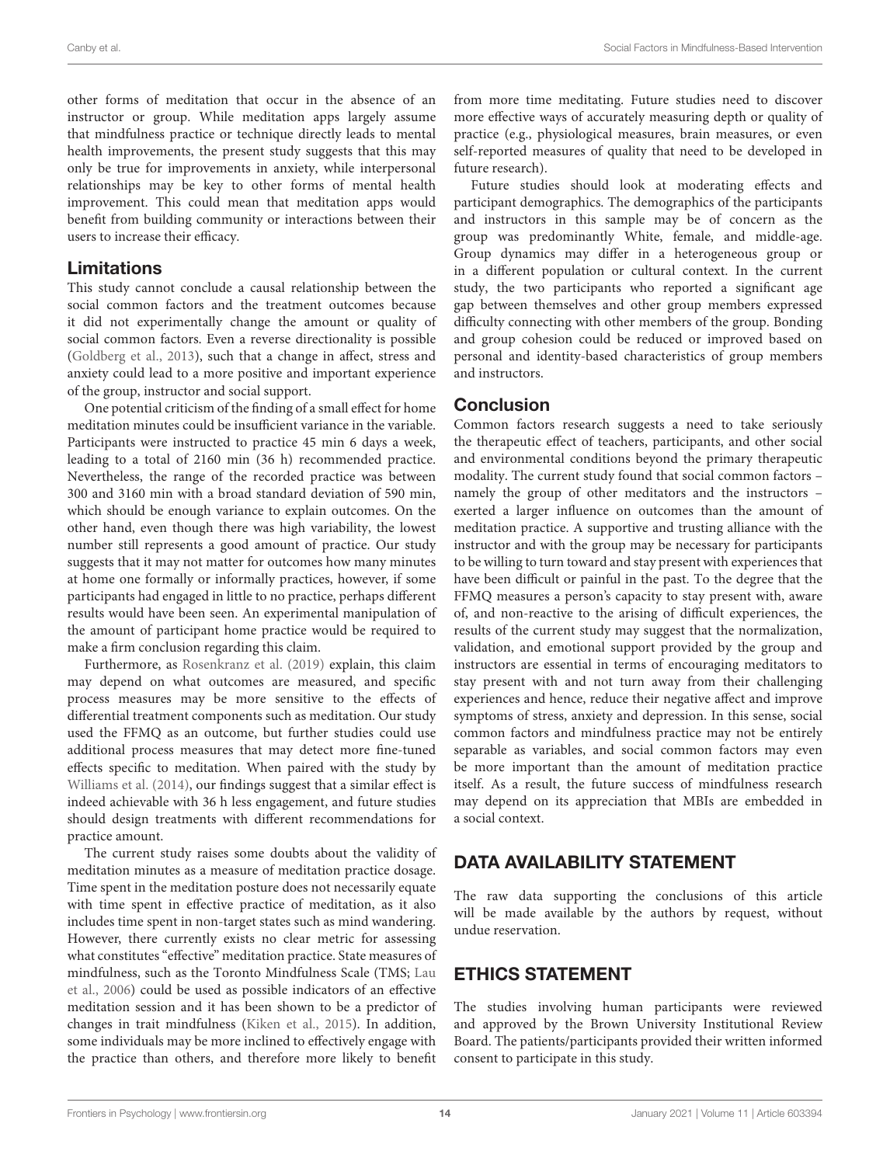other forms of meditation that occur in the absence of an instructor or group. While meditation apps largely assume that mindfulness practice or technique directly leads to mental health improvements, the present study suggests that this may only be true for improvements in anxiety, while interpersonal relationships may be key to other forms of mental health improvement. This could mean that meditation apps would benefit from building community or interactions between their users to increase their efficacy.

## Limitations

This study cannot conclude a causal relationship between the social common factors and the treatment outcomes because it did not experimentally change the amount or quality of social common factors. Even a reverse directionality is possible [\(Goldberg et al.,](#page-14-11) [2013\)](#page-14-11), such that a change in affect, stress and anxiety could lead to a more positive and important experience of the group, instructor and social support.

One potential criticism of the finding of a small effect for home meditation minutes could be insufficient variance in the variable. Participants were instructed to practice 45 min 6 days a week, leading to a total of 2160 min (36 h) recommended practice. Nevertheless, the range of the recorded practice was between 300 and 3160 min with a broad standard deviation of 590 min, which should be enough variance to explain outcomes. On the other hand, even though there was high variability, the lowest number still represents a good amount of practice. Our study suggests that it may not matter for outcomes how many minutes at home one formally or informally practices, however, if some participants had engaged in little to no practice, perhaps different results would have been seen. An experimental manipulation of the amount of participant home practice would be required to make a firm conclusion regarding this claim.

Furthermore, as [Rosenkranz et al.](#page-15-5) [\(2019\)](#page-15-5) explain, this claim may depend on what outcomes are measured, and specific process measures may be more sensitive to the effects of differential treatment components such as meditation. Our study used the FFMQ as an outcome, but further studies could use additional process measures that may detect more fine-tuned effects specific to meditation. When paired with the study by [Williams et al.](#page-15-3) [\(2014\)](#page-15-3), our findings suggest that a similar effect is indeed achievable with 36 h less engagement, and future studies should design treatments with different recommendations for practice amount.

The current study raises some doubts about the validity of meditation minutes as a measure of meditation practice dosage. Time spent in the meditation posture does not necessarily equate with time spent in effective practice of meditation, as it also includes time spent in non-target states such as mind wandering. However, there currently exists no clear metric for assessing what constitutes "effective" meditation practice. State measures of mindfulness, such as the Toronto Mindfulness Scale (TMS; [Lau](#page-15-32) [et al.,](#page-15-32) [2006\)](#page-15-32) could be used as possible indicators of an effective meditation session and it has been shown to be a predictor of changes in trait mindfulness [\(Kiken et al.,](#page-15-33) [2015\)](#page-15-33). In addition, some individuals may be more inclined to effectively engage with the practice than others, and therefore more likely to benefit

from more time meditating. Future studies need to discover more effective ways of accurately measuring depth or quality of practice (e.g., physiological measures, brain measures, or even self-reported measures of quality that need to be developed in future research).

Future studies should look at moderating effects and participant demographics. The demographics of the participants and instructors in this sample may be of concern as the group was predominantly White, female, and middle-age. Group dynamics may differ in a heterogeneous group or in a different population or cultural context. In the current study, the two participants who reported a significant age gap between themselves and other group members expressed difficulty connecting with other members of the group. Bonding and group cohesion could be reduced or improved based on personal and identity-based characteristics of group members and instructors.

## **Conclusion**

Common factors research suggests a need to take seriously the therapeutic effect of teachers, participants, and other social and environmental conditions beyond the primary therapeutic modality. The current study found that social common factors – namely the group of other meditators and the instructors – exerted a larger influence on outcomes than the amount of meditation practice. A supportive and trusting alliance with the instructor and with the group may be necessary for participants to be willing to turn toward and stay present with experiences that have been difficult or painful in the past. To the degree that the FFMQ measures a person's capacity to stay present with, aware of, and non-reactive to the arising of difficult experiences, the results of the current study may suggest that the normalization, validation, and emotional support provided by the group and instructors are essential in terms of encouraging meditators to stay present with and not turn away from their challenging experiences and hence, reduce their negative affect and improve symptoms of stress, anxiety and depression. In this sense, social common factors and mindfulness practice may not be entirely separable as variables, and social common factors may even be more important than the amount of meditation practice itself. As a result, the future success of mindfulness research may depend on its appreciation that MBIs are embedded in a social context.

# DATA AVAILABILITY STATEMENT

The raw data supporting the conclusions of this article will be made available by the authors by request, without undue reservation.

# ETHICS STATEMENT

The studies involving human participants were reviewed and approved by the Brown University Institutional Review Board. The patients/participants provided their written informed consent to participate in this study.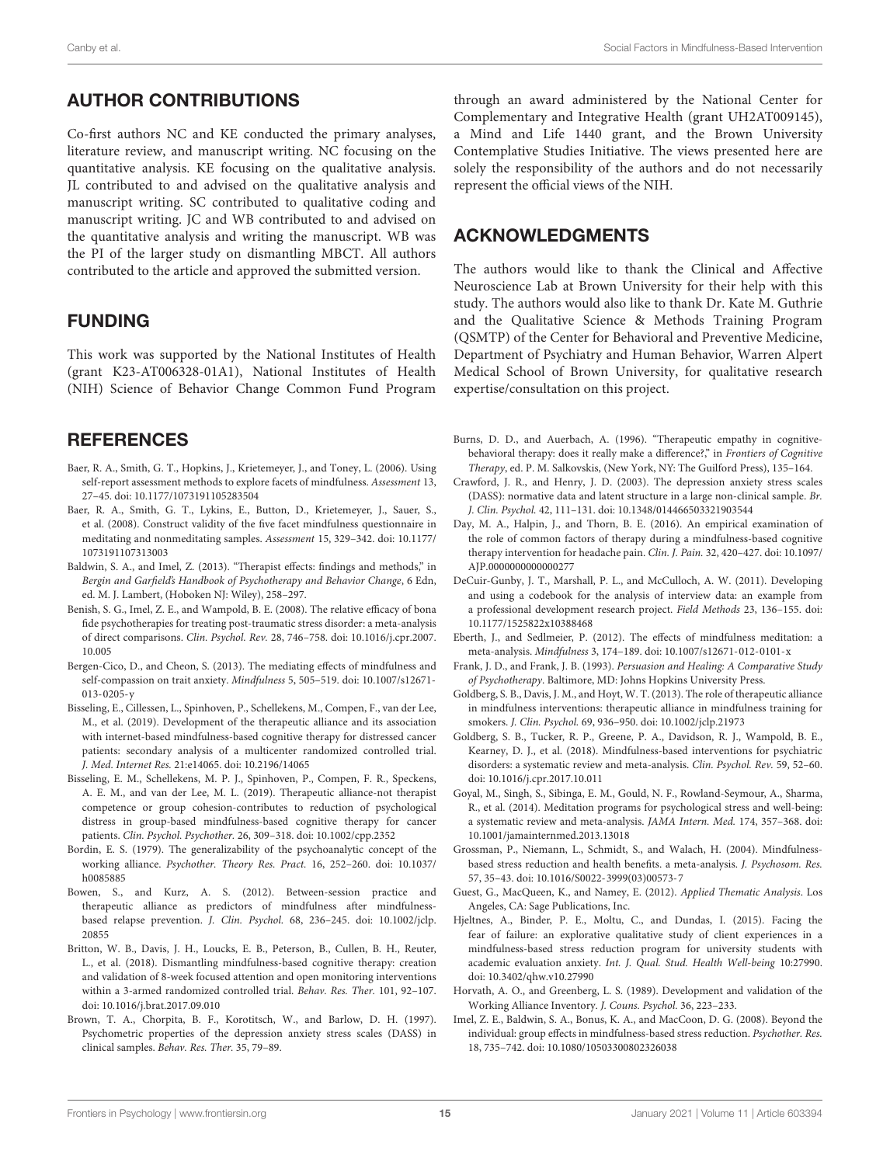# AUTHOR CONTRIBUTIONS

Co-first authors NC and KE conducted the primary analyses, literature review, and manuscript writing. NC focusing on the quantitative analysis. KE focusing on the qualitative analysis. JL contributed to and advised on the qualitative analysis and manuscript writing. SC contributed to qualitative coding and manuscript writing. JC and WB contributed to and advised on the quantitative analysis and writing the manuscript. WB was the PI of the larger study on dismantling MBCT. All authors contributed to the article and approved the submitted version.

# FUNDING

This work was supported by the National Institutes of Health (grant K23-AT006328-01A1), National Institutes of Health (NIH) Science of Behavior Change Common Fund Program

# **REFERENCES**

- <span id="page-14-22"></span>Baer, R. A., Smith, G. T., Hopkins, J., Krietemeyer, J., and Toney, L. (2006). Using self-report assessment methods to explore facets of mindfulness. Assessment 13, 27–45. [doi: 10.1177/1073191105283504](https://doi.org/10.1177/1073191105283504)
- <span id="page-14-4"></span>Baer, R. A., Smith, G. T., Lykins, E., Button, D., Krietemeyer, J., Sauer, S., et al. (2008). Construct validity of the five facet mindfulness questionnaire in meditating and nonmeditating samples. Assessment 15, 329–342. [doi: 10.1177/](https://doi.org/10.1177/1073191107313003) [1073191107313003](https://doi.org/10.1177/1073191107313003)
- <span id="page-14-10"></span>Baldwin, S. A., and Imel, Z. (2013). "Therapist effects: findings and methods," in Bergin and Garfield's Handbook of Psychotherapy and Behavior Change, 6 Edn, ed. M. J. Lambert, (Hoboken NJ: Wiley), 258–297.
- <span id="page-14-8"></span>Benish, S. G., Imel, Z. E., and Wampold, B. E. (2008). The relative efficacy of bona fide psychotherapies for treating post-traumatic stress disorder: a meta-analysis of direct comparisons. Clin. Psychol. Rev. 28, 746–758. [doi: 10.1016/j.cpr.2007.](https://doi.org/10.1016/j.cpr.2007.10.005) [10.005](https://doi.org/10.1016/j.cpr.2007.10.005)
- <span id="page-14-5"></span>Bergen-Cico, D., and Cheon, S. (2013). The mediating effects of mindfulness and self-compassion on trait anxiety. Mindfulness 5, 505–519. [doi: 10.1007/s12671-](https://doi.org/10.1007/s12671-013-0205-y) [013-0205-y](https://doi.org/10.1007/s12671-013-0205-y)
- <span id="page-14-13"></span>Bisseling, E., Cillessen, L., Spinhoven, P., Schellekens, M., Compen, F., van der Lee, M., et al. (2019). Development of the therapeutic alliance and its association with internet-based mindfulness-based cognitive therapy for distressed cancer patients: secondary analysis of a multicenter randomized controlled trial. J. Med. Internet Res. 21:e14065. [doi: 10.2196/14065](https://doi.org/10.2196/14065)
- <span id="page-14-14"></span>Bisseling, E. M., Schellekens, M. P. J., Spinhoven, P., Compen, F. R., Speckens, A. E. M., and van der Lee, M. L. (2019). Therapeutic alliance-not therapist competence or group cohesion-contributes to reduction of psychological distress in group-based mindfulness-based cognitive therapy for cancer patients. Clin. Psychol. Psychother. 26, 309–318. [doi: 10.1002/cpp.2352](https://doi.org/10.1002/cpp.2352)
- <span id="page-14-9"></span>Bordin, E. S. (1979). The generalizability of the psychoanalytic concept of the working alliance. Psychother. Theory Res. Pract. 16, 252–260. [doi: 10.1037/](https://doi.org/10.1037/h0085885) [h0085885](https://doi.org/10.1037/h0085885)
- <span id="page-14-6"></span>Bowen, S., and Kurz, A. S. (2012). Between-session practice and therapeutic alliance as predictors of mindfulness after mindfulnessbased relapse prevention. J. Clin. Psychol. 68, 236–245. [doi: 10.1002/jclp.](https://doi.org/10.1002/jclp.20855) [20855](https://doi.org/10.1002/jclp.20855)
- <span id="page-14-17"></span>Britton, W. B., Davis, J. H., Loucks, E. B., Peterson, B., Cullen, B. H., Reuter, L., et al. (2018). Dismantling mindfulness-based cognitive therapy: creation and validation of 8-week focused attention and open monitoring interventions within a 3-armed randomized controlled trial. Behav. Res. Ther. 101, 92–107. [doi: 10.1016/j.brat.2017.09.010](https://doi.org/10.1016/j.brat.2017.09.010)
- <span id="page-14-20"></span>Brown, T. A., Chorpita, B. F., Korotitsch, W., and Barlow, D. H. (1997). Psychometric properties of the depression anxiety stress scales (DASS) in clinical samples. Behav. Res. Ther. 35, 79–89.

through an award administered by the National Center for Complementary and Integrative Health (grant UH2AT009145), a Mind and Life 1440 grant, and the Brown University Contemplative Studies Initiative. The views presented here are solely the responsibility of the authors and do not necessarily represent the official views of the NIH.

## ACKNOWLEDGMENTS

The authors would like to thank the Clinical and Affective Neuroscience Lab at Brown University for their help with this study. The authors would also like to thank Dr. Kate M. Guthrie and the Qualitative Science & Methods Training Program (QSMTP) of the Center for Behavioral and Preventive Medicine, Department of Psychiatry and Human Behavior, Warren Alpert Medical School of Brown University, for qualitative research expertise/consultation on this project.

- <span id="page-14-18"></span>Burns, D. D., and Auerbach, A. (1996). "Therapeutic empathy in cognitivebehavioral therapy: does it really make a difference?," in Frontiers of Cognitive Therapy, ed. P. M. Salkovskis, (New York, NY: The Guilford Press), 135–164.
- <span id="page-14-21"></span>Crawford, J. R., and Henry, J. D. (2003). The depression anxiety stress scales (DASS): normative data and latent structure in a large non-clinical sample. Br. J. Clin. Psychol. 42, 111–131. [doi: 10.1348/014466503321903544](https://doi.org/10.1348/014466503321903544)
- <span id="page-14-12"></span>Day, M. A., Halpin, J., and Thorn, B. E. (2016). An empirical examination of the role of common factors of therapy during a mindfulness-based cognitive therapy intervention for headache pain. Clin. J. Pain. 32, 420–427. [doi: 10.1097/](https://doi.org/10.1097/AJP.0000000000000277) [AJP.0000000000000277](https://doi.org/10.1097/AJP.0000000000000277)
- <span id="page-14-23"></span>DeCuir-Gunby, J. T., Marshall, P. L., and McCulloch, A. W. (2011). Developing and using a codebook for the analysis of interview data: an example from a professional development research project. Field Methods 23, 136–155. [doi:](https://doi.org/10.1177/1525822x10388468) [10.1177/1525822x10388468](https://doi.org/10.1177/1525822x10388468)
- <span id="page-14-1"></span>Eberth, J., and Sedlmeier, P. (2012). The effects of mindfulness meditation: a meta-analysis. Mindfulness 3, 174–189. [doi: 10.1007/s12671-012-0101-x](https://doi.org/10.1007/s12671-012-0101-x)
- <span id="page-14-7"></span>Frank, J. D., and Frank, J. B. (1993). Persuasion and Healing: A Comparative Study of Psychotherapy. Baltimore, MD: Johns Hopkins University Press.
- <span id="page-14-11"></span>Goldberg, S. B., Davis, J. M., and Hoyt, W. T. (2013). The role of therapeutic alliance in mindfulness interventions: therapeutic alliance in mindfulness training for smokers. J. Clin. Psychol. 69, 936–950. [doi: 10.1002/jclp.21973](https://doi.org/10.1002/jclp.21973)
- <span id="page-14-3"></span>Goldberg, S. B., Tucker, R. P., Greene, P. A., Davidson, R. J., Wampold, B. E., Kearney, D. J., et al. (2018). Mindfulness-based interventions for psychiatric disorders: a systematic review and meta-analysis. Clin. Psychol. Rev. 59, 52–60. [doi: 10.1016/j.cpr.2017.10.011](https://doi.org/10.1016/j.cpr.2017.10.011)
- <span id="page-14-2"></span>Goyal, M., Singh, S., Sibinga, E. M., Gould, N. F., Rowland-Seymour, A., Sharma, R., et al. (2014). Meditation programs for psychological stress and well-being: a systematic review and meta-analysis. JAMA Intern. Med. 174, 357–368. [doi:](https://doi.org/10.1001/jamainternmed.2013.13018) [10.1001/jamainternmed.2013.13018](https://doi.org/10.1001/jamainternmed.2013.13018)
- <span id="page-14-0"></span>Grossman, P., Niemann, L., Schmidt, S., and Walach, H. (2004). Mindfulnessbased stress reduction and health benefits. a meta-analysis. J. Psychosom. Res. 57, 35–43. [doi: 10.1016/S0022-3999\(03\)00573-7](https://doi.org/10.1016/S0022-3999(03)00573-7)
- <span id="page-14-24"></span>Guest, G., MacQueen, K., and Namey, E. (2012). Applied Thematic Analysis. Los Angeles, CA: Sage Publications, Inc.
- <span id="page-14-15"></span>Hjeltnes, A., Binder, P. E., Moltu, C., and Dundas, I. (2015). Facing the fear of failure: an explorative qualitative study of client experiences in a mindfulness-based stress reduction program for university students with academic evaluation anxiety. Int. J. Qual. Stud. Health Well-being 10:27990. [doi: 10.3402/qhw.v10.27990](https://doi.org/10.3402/qhw.v10.27990)
- <span id="page-14-19"></span>Horvath, A. O., and Greenberg, L. S. (1989). Development and validation of the Working Alliance Inventory. J. Couns. Psychol. 36, 223–233.
- <span id="page-14-16"></span>Imel, Z. E., Baldwin, S. A., Bonus, K. A., and MacCoon, D. G. (2008). Beyond the individual: group effects in mindfulness-based stress reduction. Psychother. Res. 18, 735–742. [doi: 10.1080/10503300802326038](https://doi.org/10.1080/10503300802326038)